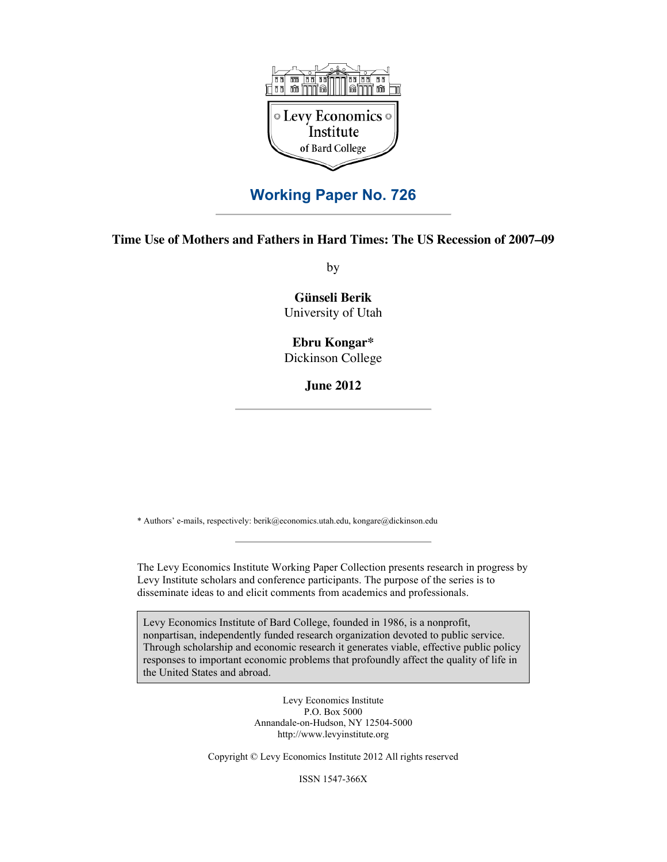

# **Working Paper No. 726**

# **Time Use of Mothers and Fathers in Hard Times: The US Recession of 2007–09**

by

**Günseli Berik** University of Utah

# **Ebru Kongar\*** Dickinson College

**June 2012**

\* Authors' e-mails, respectively: berik@economics.utah.edu, kongare@dickinson.edu

The Levy Economics Institute Working Paper Collection presents research in progress by Levy Institute scholars and conference participants. The purpose of the series is to disseminate ideas to and elicit comments from academics and professionals.

Levy Economics Institute of Bard College, founded in 1986, is a nonprofit, nonpartisan, independently funded research organization devoted to public service. Through scholarship and economic research it generates viable, effective public policy responses to important economic problems that profoundly affect the quality of life in the United States and abroad.

> Levy Economics Institute P.O. Box 5000 Annandale-on-Hudson, NY 12504-5000 http://www.levyinstitute.org

Copyright © Levy Economics Institute 2012 All rights reserved

ISSN 1547-366X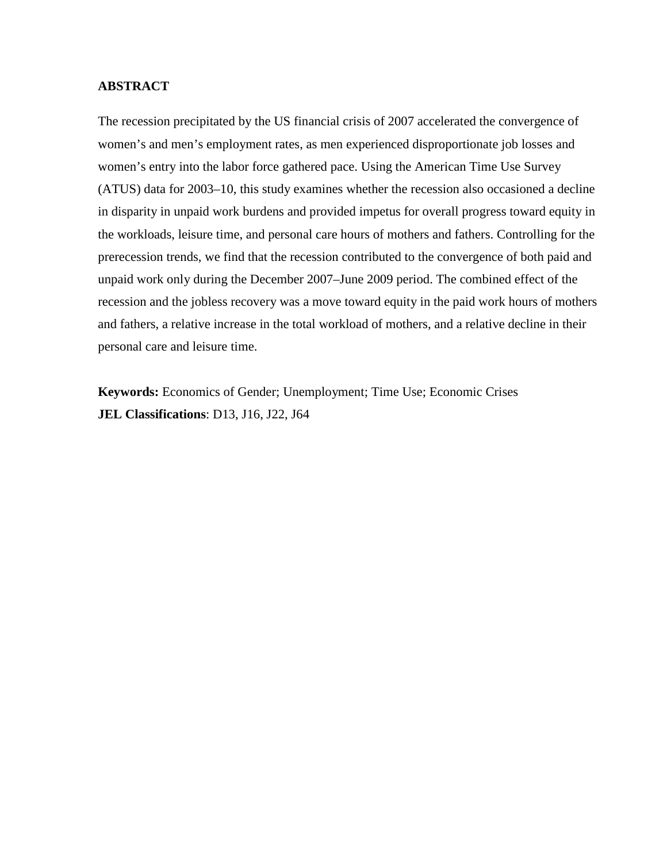### **ABSTRACT**

The recession precipitated by the US financial crisis of 2007 accelerated the convergence of women's and men's employment rates, as men experienced disproportionate job losses and women's entry into the labor force gathered pace. Using the American Time Use Survey (ATUS) data for 2003–10, this study examines whether the recession also occasioned a decline in disparity in unpaid work burdens and provided impetus for overall progress toward equity in the workloads, leisure time, and personal care hours of mothers and fathers. Controlling for the prerecession trends, we find that the recession contributed to the convergence of both paid and unpaid work only during the December 2007–June 2009 period. The combined effect of the recession and the jobless recovery was a move toward equity in the paid work hours of mothers and fathers, a relative increase in the total workload of mothers, and a relative decline in their personal care and leisure time.

**Keywords:** Economics of Gender; Unemployment; Time Use; Economic Crises **JEL Classifications**: D13, J16, J22, J64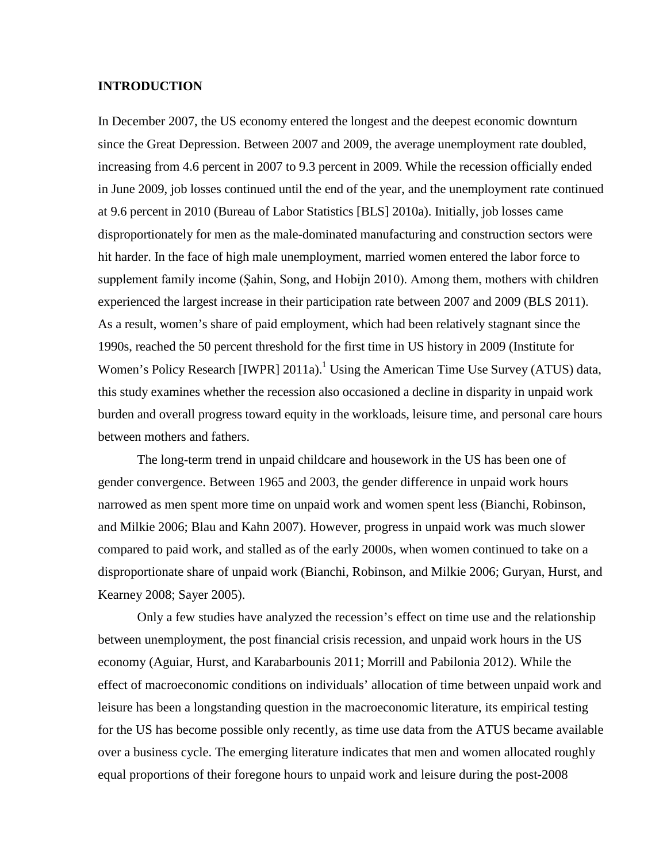### **INTRODUCTION**

In December 2007, the US economy entered the longest and the deepest economic downturn since the Great Depression. Between 2007 and 2009, the average unemployment rate doubled, increasing from 4.6 percent in 2007 to 9.3 percent in 2009. While the recession officially ended in June 2009, job losses continued until the end of the year, and the unemployment rate continued at 9.6 percent in 2010 (Bureau of Labor Statistics [BLS] 2010a). Initially, job losses came disproportionately for men as the male-dominated manufacturing and construction sectors were hit harder. In the face of high male unemployment, married women entered the labor force to supplement family income (Şahin, Song, and Hobijn 2010). Among them, mothers with children experienced the largest increase in their participation rate between 2007 and 2009 (BLS 2011). As a result, women's share of paid employment, which had been relatively stagnant since the 1990s, reached the 50 percent threshold for the first time in US history in 2009 (Institute for Women's Policy Research [IWPR] 2011a).<sup>1</sup> Using the American Time Use Survey (ATUS) data, this study examines whether the recession also occasioned a decline in disparity in unpaid work burden and overall progress toward equity in the workloads, leisure time, and personal care hours between mothers and fathers.

The long-term trend in unpaid childcare and housework in the US has been one of gender convergence. Between 1965 and 2003, the gender difference in unpaid work hours narrowed as men spent more time on unpaid work and women spent less (Bianchi, Robinson, and Milkie 2006; Blau and Kahn 2007). However, progress in unpaid work was much slower compared to paid work, and stalled as of the early 2000s, when women continued to take on a disproportionate share of unpaid work (Bianchi, Robinson, and Milkie 2006; Guryan, Hurst, and Kearney 2008; Sayer 2005).

Only a few studies have analyzed the recession's effect on time use and the relationship between unemployment, the post financial crisis recession, and unpaid work hours in the US economy (Aguiar, Hurst, and Karabarbounis 2011; Morrill and Pabilonia 2012). While the effect of macroeconomic conditions on individuals' allocation of time between unpaid work and leisure has been a longstanding question in the macroeconomic literature, its empirical testing for the US has become possible only recently, as time use data from the ATUS became available over a business cycle. The emerging literature indicates that men and women allocated roughly equal proportions of their foregone hours to unpaid work and leisure during the post-2008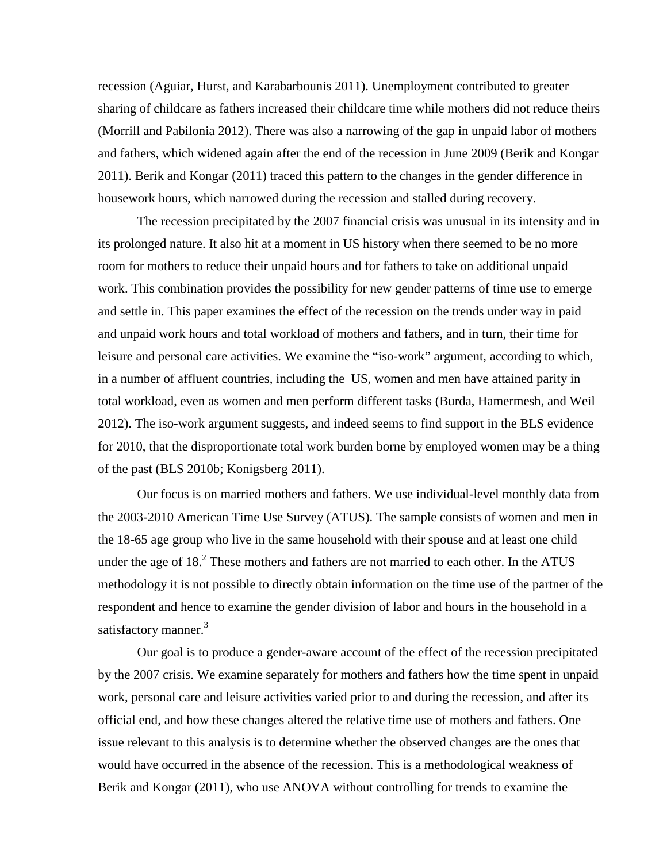recession (Aguiar, Hurst, and Karabarbounis 2011). Unemployment contributed to greater sharing of childcare as fathers increased their childcare time while mothers did not reduce theirs (Morrill and Pabilonia 2012). There was also a narrowing of the gap in unpaid labor of mothers and fathers, which widened again after the end of the recession in June 2009 (Berik and Kongar 2011). Berik and Kongar (2011) traced this pattern to the changes in the gender difference in housework hours, which narrowed during the recession and stalled during recovery.

The recession precipitated by the 2007 financial crisis was unusual in its intensity and in its prolonged nature. It also hit at a moment in US history when there seemed to be no more room for mothers to reduce their unpaid hours and for fathers to take on additional unpaid work. This combination provides the possibility for new gender patterns of time use to emerge and settle in. This paper examines the effect of the recession on the trends under way in paid and unpaid work hours and total workload of mothers and fathers, and in turn, their time for leisure and personal care activities. We examine the "iso-work" argument, according to which, in a number of affluent countries, including the US, women and men have attained parity in total workload, even as women and men perform different tasks (Burda, Hamermesh, and Weil 2012). The iso-work argument suggests, and indeed seems to find support in the BLS evidence for 2010, that the disproportionate total work burden borne by employed women may be a thing of the past (BLS 2010b; Konigsberg 2011).

Our focus is on married mothers and fathers. We use individual-level monthly data from the 2003-2010 American Time Use Survey (ATUS). The sample consists of women and men in the 18-65 age group who live in the same household with their spouse and at least one child under the age of  $18<sup>2</sup>$  These mothers and fathers are not married to each other. In the ATUS methodology it is not possible to directly obtain information on the time use of the partner of the respondent and hence to examine the gender division of labor and hours in the household in a satisfactory manner.<sup>3</sup>

Our goal is to produce a gender-aware account of the effect of the recession precipitated by the 2007 crisis. We examine separately for mothers and fathers how the time spent in unpaid work, personal care and leisure activities varied prior to and during the recession, and after its official end, and how these changes altered the relative time use of mothers and fathers. One issue relevant to this analysis is to determine whether the observed changes are the ones that would have occurred in the absence of the recession. This is a methodological weakness of Berik and Kongar (2011), who use ANOVA without controlling for trends to examine the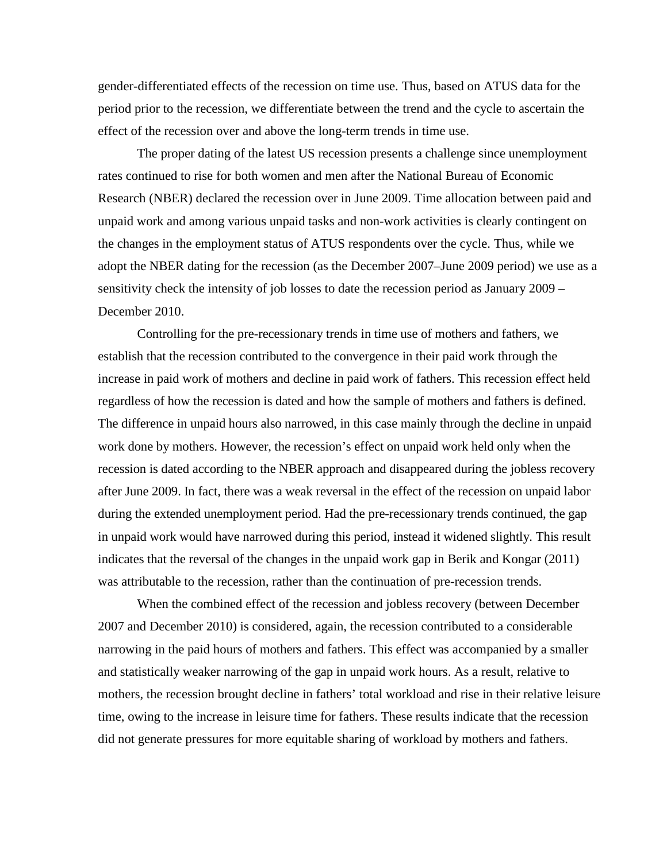gender-differentiated effects of the recession on time use. Thus, based on ATUS data for the period prior to the recession, we differentiate between the trend and the cycle to ascertain the effect of the recession over and above the long-term trends in time use.

The proper dating of the latest US recession presents a challenge since unemployment rates continued to rise for both women and men after the National Bureau of Economic Research (NBER) declared the recession over in June 2009. Time allocation between paid and unpaid work and among various unpaid tasks and non-work activities is clearly contingent on the changes in the employment status of ATUS respondents over the cycle. Thus, while we adopt the NBER dating for the recession (as the December 2007–June 2009 period) we use as a sensitivity check the intensity of job losses to date the recession period as January 2009 – December 2010.

Controlling for the pre-recessionary trends in time use of mothers and fathers, we establish that the recession contributed to the convergence in their paid work through the increase in paid work of mothers and decline in paid work of fathers. This recession effect held regardless of how the recession is dated and how the sample of mothers and fathers is defined. The difference in unpaid hours also narrowed, in this case mainly through the decline in unpaid work done by mothers. However, the recession's effect on unpaid work held only when the recession is dated according to the NBER approach and disappeared during the jobless recovery after June 2009. In fact, there was a weak reversal in the effect of the recession on unpaid labor during the extended unemployment period. Had the pre-recessionary trends continued, the gap in unpaid work would have narrowed during this period, instead it widened slightly. This result indicates that the reversal of the changes in the unpaid work gap in Berik and Kongar (2011) was attributable to the recession, rather than the continuation of pre-recession trends.

When the combined effect of the recession and jobless recovery (between December 2007 and December 2010) is considered, again, the recession contributed to a considerable narrowing in the paid hours of mothers and fathers. This effect was accompanied by a smaller and statistically weaker narrowing of the gap in unpaid work hours. As a result, relative to mothers, the recession brought decline in fathers' total workload and rise in their relative leisure time, owing to the increase in leisure time for fathers. These results indicate that the recession did not generate pressures for more equitable sharing of workload by mothers and fathers.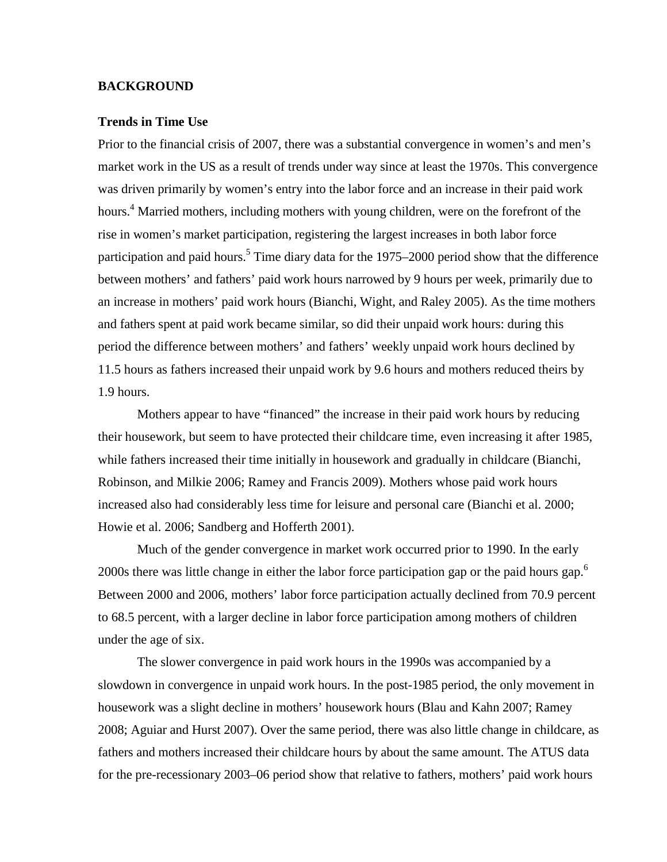### **BACKGROUND**

#### **Trends in Time Use**

Prior to the financial crisis of 2007, there was a substantial convergence in women's and men's market work in the US as a result of trends under way since at least the 1970s. This convergence was driven primarily by women's entry into the labor force and an increase in their paid work hours.<sup>4</sup> Married mothers, including mothers with young children, were on the forefront of the rise in women's market participation, registering the largest increases in both labor force participation and paid hours.<sup>5</sup> Time diary data for the 1975–2000 period show that the difference between mothers' and fathers' paid work hours narrowed by 9 hours per week, primarily due to an increase in mothers' paid work hours (Bianchi, Wight, and Raley 2005). As the time mothers and fathers spent at paid work became similar, so did their unpaid work hours: during this period the difference between mothers' and fathers' weekly unpaid work hours declined by 11.5 hours as fathers increased their unpaid work by 9.6 hours and mothers reduced theirs by 1.9 hours.

Mothers appear to have "financed" the increase in their paid work hours by reducing their housework, but seem to have protected their childcare time, even increasing it after 1985, while fathers increased their time initially in housework and gradually in childcare (Bianchi, Robinson, and Milkie 2006; Ramey and Francis 2009). Mothers whose paid work hours increased also had considerably less time for leisure and personal care (Bianchi et al. 2000; Howie et al. 2006; Sandberg and Hofferth 2001).

Much of the gender convergence in market work occurred prior to 1990. In the early 2000s there was little change in either the labor force participation gap or the paid hours gap.<sup>6</sup> Between 2000 and 2006, mothers' labor force participation actually declined from 70.9 percent to 68.5 percent, with a larger decline in labor force participation among mothers of children under the age of six.

The slower convergence in paid work hours in the 1990s was accompanied by a slowdown in convergence in unpaid work hours. In the post-1985 period, the only movement in housework was a slight decline in mothers' housework hours (Blau and Kahn 2007; Ramey 2008; Aguiar and Hurst 2007). Over the same period, there was also little change in childcare, as fathers and mothers increased their childcare hours by about the same amount. The ATUS data for the pre-recessionary 2003–06 period show that relative to fathers, mothers' paid work hours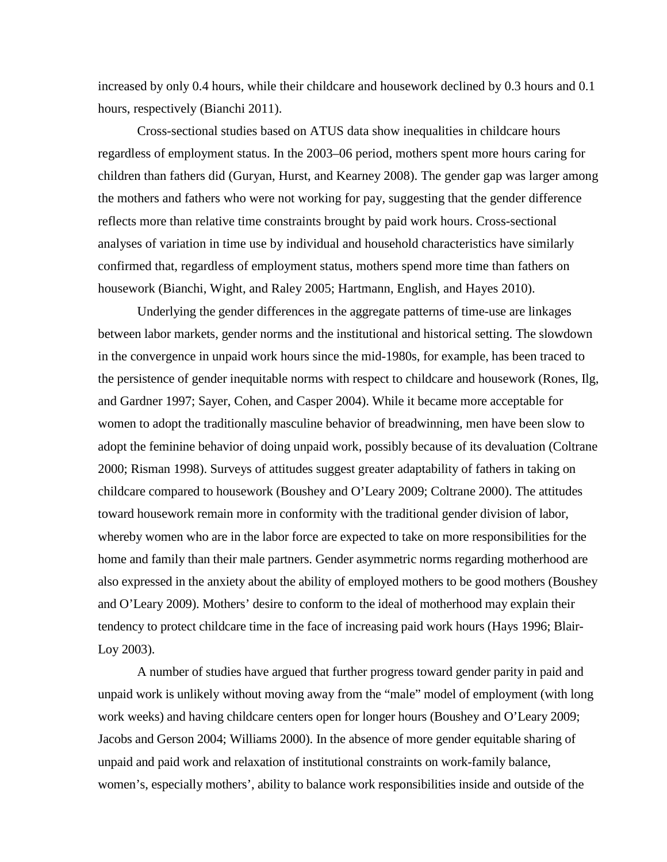increased by only 0.4 hours, while their childcare and housework declined by 0.3 hours and 0.1 hours, respectively (Bianchi 2011).

Cross-sectional studies based on ATUS data show inequalities in childcare hours regardless of employment status. In the 2003–06 period, mothers spent more hours caring for children than fathers did (Guryan, Hurst, and Kearney 2008). The gender gap was larger among the mothers and fathers who were not working for pay, suggesting that the gender difference reflects more than relative time constraints brought by paid work hours. Cross-sectional analyses of variation in time use by individual and household characteristics have similarly confirmed that, regardless of employment status, mothers spend more time than fathers on housework (Bianchi, Wight, and Raley 2005; Hartmann, English, and Hayes 2010).

Underlying the gender differences in the aggregate patterns of time-use are linkages between labor markets, gender norms and the institutional and historical setting. The slowdown in the convergence in unpaid work hours since the mid-1980s, for example, has been traced to the persistence of gender inequitable norms with respect to childcare and housework (Rones, Ilg, and Gardner 1997; Sayer, Cohen, and Casper 2004). While it became more acceptable for women to adopt the traditionally masculine behavior of breadwinning, men have been slow to adopt the feminine behavior of doing unpaid work, possibly because of its devaluation (Coltrane 2000; Risman 1998). Surveys of attitudes suggest greater adaptability of fathers in taking on childcare compared to housework (Boushey and O'Leary 2009; Coltrane 2000). The attitudes toward housework remain more in conformity with the traditional gender division of labor, whereby women who are in the labor force are expected to take on more responsibilities for the home and family than their male partners. Gender asymmetric norms regarding motherhood are also expressed in the anxiety about the ability of employed mothers to be good mothers (Boushey and O'Leary 2009). Mothers' desire to conform to the ideal of motherhood may explain their tendency to protect childcare time in the face of increasing paid work hours (Hays 1996; Blair-Loy 2003).

A number of studies have argued that further progress toward gender parity in paid and unpaid work is unlikely without moving away from the "male" model of employment (with long work weeks) and having childcare centers open for longer hours (Boushey and O'Leary 2009; Jacobs and Gerson 2004; Williams 2000). In the absence of more gender equitable sharing of unpaid and paid work and relaxation of institutional constraints on work-family balance, women's, especially mothers', ability to balance work responsibilities inside and outside of the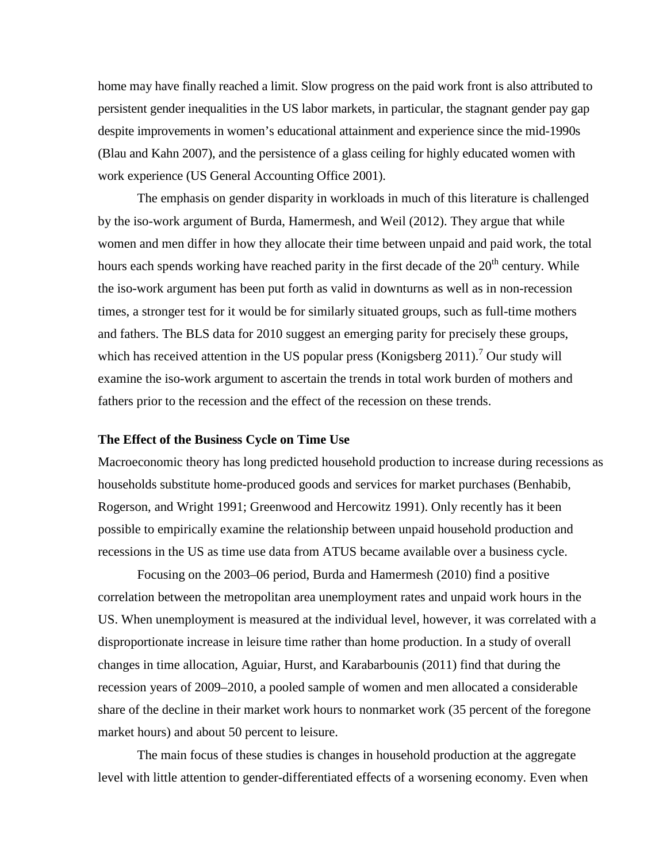home may have finally reached a limit. Slow progress on the paid work front is also attributed to persistent gender inequalities in the US labor markets, in particular, the stagnant gender pay gap despite improvements in women's educational attainment and experience since the mid-1990s (Blau and Kahn 2007), and the persistence of a glass ceiling for highly educated women with work experience (US General Accounting Office 2001).

The emphasis on gender disparity in workloads in much of this literature is challenged by the iso-work argument of Burda, Hamermesh, and Weil (2012). They argue that while women and men differ in how they allocate their time between unpaid and paid work, the total hours each spends working have reached parity in the first decade of the 20<sup>th</sup> century. While the iso-work argument has been put forth as valid in downturns as well as in non-recession times, a stronger test for it would be for similarly situated groups, such as full-time mothers and fathers. The BLS data for 2010 suggest an emerging parity for precisely these groups, which has received attention in the US popular press (Konigsberg 2011).<sup>7</sup> Our study will examine the iso-work argument to ascertain the trends in total work burden of mothers and fathers prior to the recession and the effect of the recession on these trends.

#### **The Effect of the Business Cycle on Time Use**

Macroeconomic theory has long predicted household production to increase during recessions as households substitute home-produced goods and services for market purchases (Benhabib, Rogerson, and Wright 1991; Greenwood and Hercowitz 1991). Only recently has it been possible to empirically examine the relationship between unpaid household production and recessions in the US as time use data from ATUS became available over a business cycle.

Focusing on the 2003–06 period, Burda and Hamermesh (2010) find a positive correlation between the metropolitan area unemployment rates and unpaid work hours in the US. When unemployment is measured at the individual level, however, it was correlated with a disproportionate increase in leisure time rather than home production. In a study of overall changes in time allocation, Aguiar, Hurst, and Karabarbounis (2011) find that during the recession years of 2009–2010, a pooled sample of women and men allocated a considerable share of the decline in their market work hours to nonmarket work (35 percent of the foregone market hours) and about 50 percent to leisure.

The main focus of these studies is changes in household production at the aggregate level with little attention to gender-differentiated effects of a worsening economy. Even when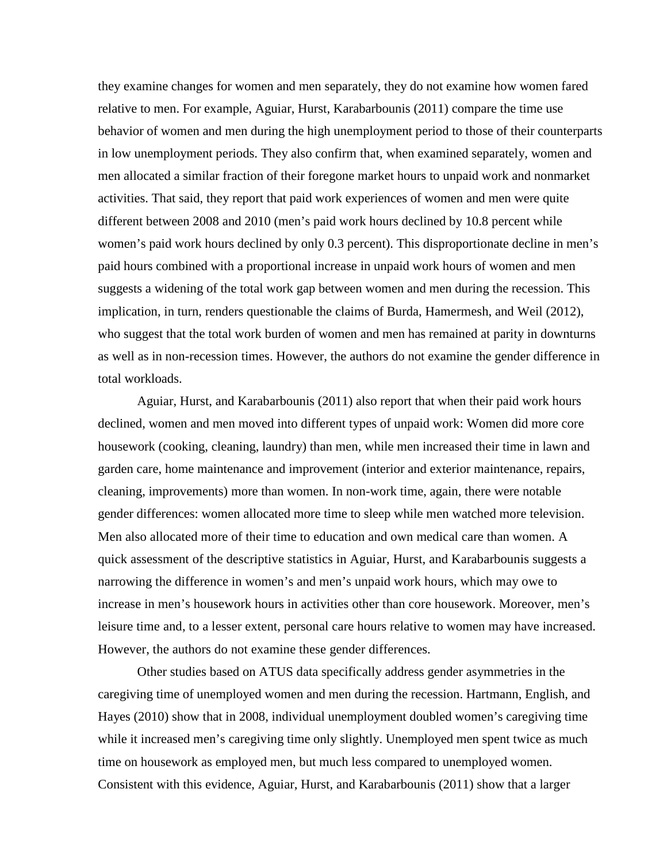they examine changes for women and men separately, they do not examine how women fared relative to men. For example, Aguiar, Hurst, Karabarbounis (2011) compare the time use behavior of women and men during the high unemployment period to those of their counterparts in low unemployment periods. They also confirm that, when examined separately, women and men allocated a similar fraction of their foregone market hours to unpaid work and nonmarket activities. That said, they report that paid work experiences of women and men were quite different between 2008 and 2010 (men's paid work hours declined by 10.8 percent while women's paid work hours declined by only 0.3 percent). This disproportionate decline in men's paid hours combined with a proportional increase in unpaid work hours of women and men suggests a widening of the total work gap between women and men during the recession. This implication, in turn, renders questionable the claims of Burda, Hamermesh, and Weil (2012), who suggest that the total work burden of women and men has remained at parity in downturns as well as in non-recession times. However, the authors do not examine the gender difference in total workloads.

Aguiar, Hurst, and Karabarbounis (2011) also report that when their paid work hours declined, women and men moved into different types of unpaid work: Women did more core housework (cooking, cleaning, laundry) than men, while men increased their time in lawn and garden care, home maintenance and improvement (interior and exterior maintenance, repairs, cleaning, improvements) more than women. In non-work time, again, there were notable gender differences: women allocated more time to sleep while men watched more television. Men also allocated more of their time to education and own medical care than women. A quick assessment of the descriptive statistics in Aguiar, Hurst, and Karabarbounis suggests a narrowing the difference in women's and men's unpaid work hours, which may owe to increase in men's housework hours in activities other than core housework. Moreover, men's leisure time and, to a lesser extent, personal care hours relative to women may have increased. However, the authors do not examine these gender differences.

Other studies based on ATUS data specifically address gender asymmetries in the caregiving time of unemployed women and men during the recession. Hartmann, English, and Hayes (2010) show that in 2008, individual unemployment doubled women's caregiving time while it increased men's caregiving time only slightly. Unemployed men spent twice as much time on housework as employed men, but much less compared to unemployed women. Consistent with this evidence, Aguiar, Hurst, and Karabarbounis (2011) show that a larger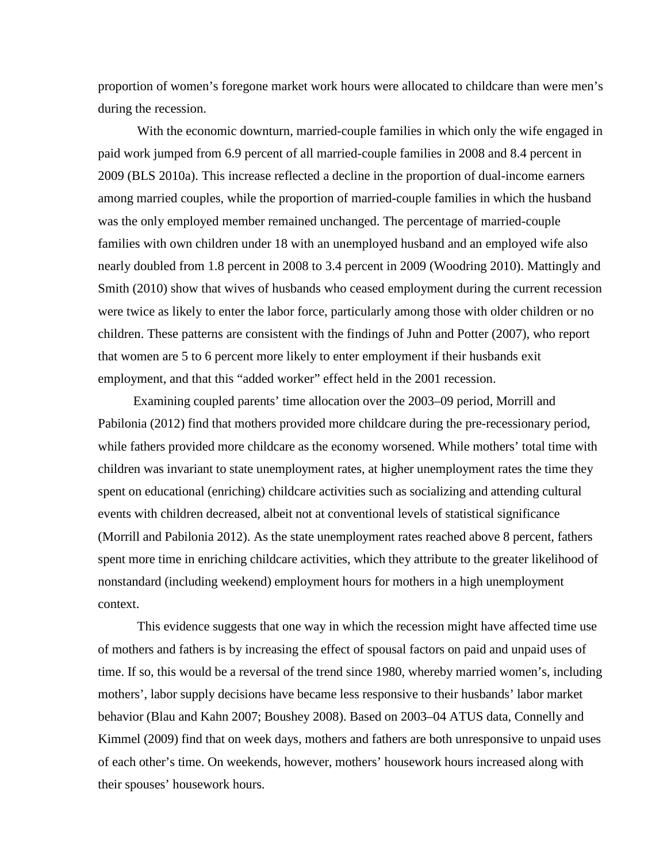proportion of women's foregone market work hours were allocated to childcare than were men's during the recession.

With the economic downturn, married-couple families in which only the wife engaged in paid work jumped from 6.9 percent of all married-couple families in 2008 and 8.4 percent in 2009 (BLS 2010a). This increase reflected a decline in the proportion of dual-income earners among married couples, while the proportion of married-couple families in which the husband was the only employed member remained unchanged. The percentage of married-couple families with own children under 18 with an unemployed husband and an employed wife also nearly doubled from 1.8 percent in 2008 to 3.4 percent in 2009 (Woodring 2010). Mattingly and Smith (2010) show that wives of husbands who ceased employment during the current recession were twice as likely to enter the labor force, particularly among those with older children or no children. These patterns are consistent with the findings of Juhn and Potter (2007), who report that women are 5 to 6 percent more likely to enter employment if their husbands exit employment, and that this "added worker" effect held in the 2001 recession.

Examining coupled parents' time allocation over the 2003–09 period, Morrill and Pabilonia (2012) find that mothers provided more childcare during the pre-recessionary period, while fathers provided more childcare as the economy worsened. While mothers' total time with children was invariant to state unemployment rates, at higher unemployment rates the time they spent on educational (enriching) childcare activities such as socializing and attending cultural events with children decreased, albeit not at conventional levels of statistical significance (Morrill and Pabilonia 2012). As the state unemployment rates reached above 8 percent, fathers spent more time in enriching childcare activities, which they attribute to the greater likelihood of nonstandard (including weekend) employment hours for mothers in a high unemployment context.

This evidence suggests that one way in which the recession might have affected time use of mothers and fathers is by increasing the effect of spousal factors on paid and unpaid uses of time. If so, this would be a reversal of the trend since 1980, whereby married women's, including mothers', labor supply decisions have became less responsive to their husbands' labor market behavior (Blau and Kahn 2007; Boushey 2008). Based on 2003–04 ATUS data, Connelly and Kimmel (2009) find that on week days, mothers and fathers are both unresponsive to unpaid uses of each other's time. On weekends, however, mothers' housework hours increased along with their spouses' housework hours.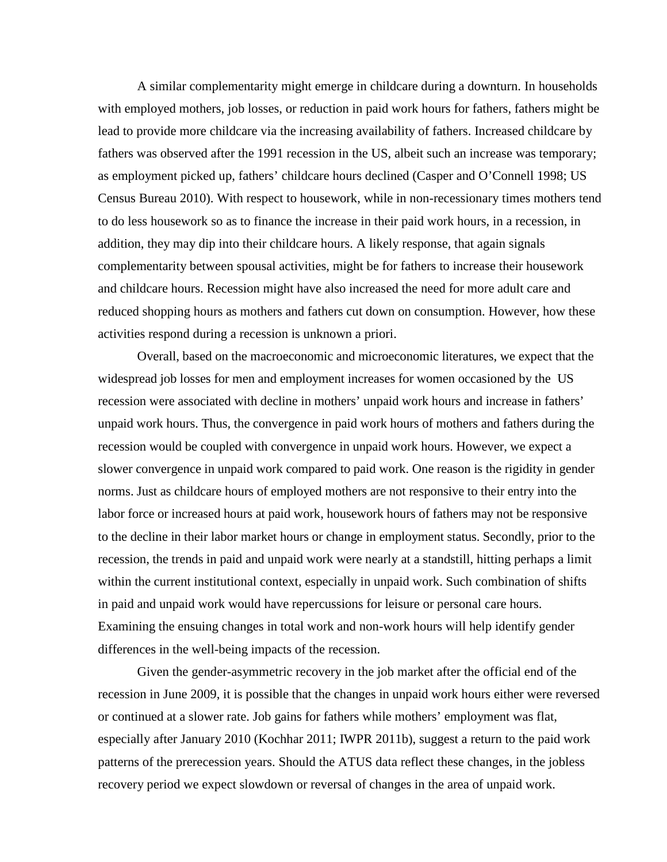A similar complementarity might emerge in childcare during a downturn. In households with employed mothers, job losses, or reduction in paid work hours for fathers, fathers might be lead to provide more childcare via the increasing availability of fathers. Increased childcare by fathers was observed after the 1991 recession in the US, albeit such an increase was temporary; as employment picked up, fathers' childcare hours declined (Casper and O'Connell 1998; US Census Bureau 2010). With respect to housework, while in non-recessionary times mothers tend to do less housework so as to finance the increase in their paid work hours, in a recession, in addition, they may dip into their childcare hours. A likely response, that again signals complementarity between spousal activities, might be for fathers to increase their housework and childcare hours. Recession might have also increased the need for more adult care and reduced shopping hours as mothers and fathers cut down on consumption. However, how these activities respond during a recession is unknown a priori.

Overall, based on the macroeconomic and microeconomic literatures, we expect that the widespread job losses for men and employment increases for women occasioned by the US recession were associated with decline in mothers' unpaid work hours and increase in fathers' unpaid work hours. Thus, the convergence in paid work hours of mothers and fathers during the recession would be coupled with convergence in unpaid work hours. However, we expect a slower convergence in unpaid work compared to paid work. One reason is the rigidity in gender norms. Just as childcare hours of employed mothers are not responsive to their entry into the labor force or increased hours at paid work, housework hours of fathers may not be responsive to the decline in their labor market hours or change in employment status. Secondly, prior to the recession, the trends in paid and unpaid work were nearly at a standstill, hitting perhaps a limit within the current institutional context, especially in unpaid work. Such combination of shifts in paid and unpaid work would have repercussions for leisure or personal care hours. Examining the ensuing changes in total work and non-work hours will help identify gender differences in the well-being impacts of the recession.

Given the gender-asymmetric recovery in the job market after the official end of the recession in June 2009, it is possible that the changes in unpaid work hours either were reversed or continued at a slower rate. Job gains for fathers while mothers' employment was flat, especially after January 2010 (Kochhar 2011; IWPR 2011b), suggest a return to the paid work patterns of the prerecession years. Should the ATUS data reflect these changes, in the jobless recovery period we expect slowdown or reversal of changes in the area of unpaid work.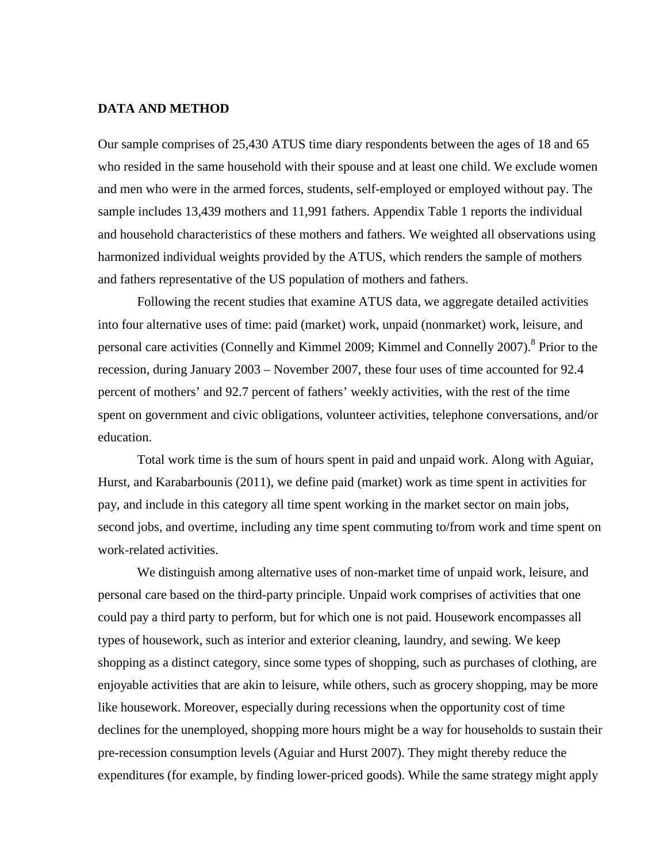### **DATA AND METHOD**

Our sample comprises of 25,430 ATUS time diary respondents between the ages of 18 and 65 who resided in the same household with their spouse and at least one child. We exclude women and men who were in the armed forces, students, self-employed or employed without pay. The sample includes 13,439 mothers and 11,991 fathers. Appendix Table 1 reports the individual and household characteristics of these mothers and fathers. We weighted all observations using harmonized individual weights provided by the ATUS, which renders the sample of mothers and fathers representative of the US population of mothers and fathers.

Following the recent studies that examine ATUS data, we aggregate detailed activities into four alternative uses of time: paid (market) work, unpaid (nonmarket) work, leisure, and personal care activities (Connelly and Kimmel 2009; Kimmel and Connelly 2007).<sup>8</sup> Prior to the recession, during January 2003 – November 2007, these four uses of time accounted for 92.4 percent of mothers' and 92.7 percent of fathers' weekly activities, with the rest of the time spent on government and civic obligations, volunteer activities, telephone conversations, and/or education.

Total work time is the sum of hours spent in paid and unpaid work. Along with Aguiar, Hurst, and Karabarbounis (2011), we define paid (market) work as time spent in activities for pay, and include in this category all time spent working in the market sector on main jobs, second jobs, and overtime, including any time spent commuting to/from work and time spent on work-related activities.

We distinguish among alternative uses of non-market time of unpaid work, leisure, and personal care based on the third-party principle. Unpaid work comprises of activities that one could pay a third party to perform, but for which one is not paid. Housework encompasses all types of housework, such as interior and exterior cleaning, laundry, and sewing. We keep shopping as a distinct category, since some types of shopping, such as purchases of clothing, are enjoyable activities that are akin to leisure, while others, such as grocery shopping, may be more like housework. Moreover, especially during recessions when the opportunity cost of time declines for the unemployed, shopping more hours might be a way for households to sustain their pre-recession consumption levels (Aguiar and Hurst 2007). They might thereby reduce the expenditures (for example, by finding lower-priced goods). While the same strategy might apply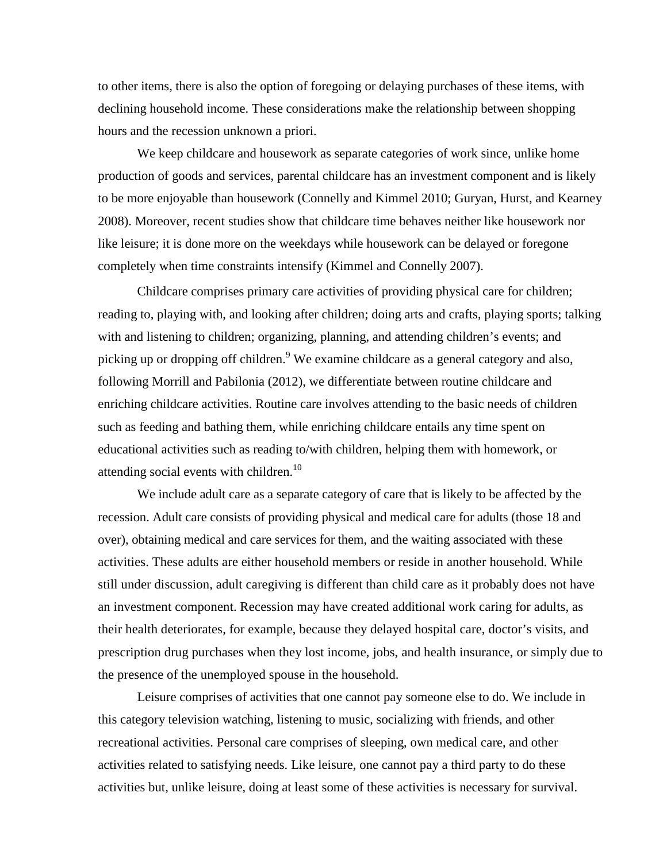to other items, there is also the option of foregoing or delaying purchases of these items, with declining household income. These considerations make the relationship between shopping hours and the recession unknown a priori.

We keep childcare and housework as separate categories of work since, unlike home production of goods and services, parental childcare has an investment component and is likely to be more enjoyable than housework (Connelly and Kimmel 2010; Guryan, Hurst, and Kearney 2008). Moreover, recent studies show that childcare time behaves neither like housework nor like leisure; it is done more on the weekdays while housework can be delayed or foregone completely when time constraints intensify (Kimmel and Connelly 2007).

Childcare comprises primary care activities of providing physical care for children; reading to, playing with, and looking after children; doing arts and crafts, playing sports; talking with and listening to children; organizing, planning, and attending children's events; and picking up or dropping off children.<sup>9</sup> We examine childcare as a general category and also, following Morrill and Pabilonia (2012), we differentiate between routine childcare and enriching childcare activities. Routine care involves attending to the basic needs of children such as feeding and bathing them, while enriching childcare entails any time spent on educational activities such as reading to/with children, helping them with homework, or attending social events with children.<sup>10</sup>

We include adult care as a separate category of care that is likely to be affected by the recession. Adult care consists of providing physical and medical care for adults (those 18 and over), obtaining medical and care services for them, and the waiting associated with these activities. These adults are either household members or reside in another household. While still under discussion, adult caregiving is different than child care as it probably does not have an investment component. Recession may have created additional work caring for adults, as their health deteriorates, for example, because they delayed hospital care, doctor's visits, and prescription drug purchases when they lost income, jobs, and health insurance, or simply due to the presence of the unemployed spouse in the household.

Leisure comprises of activities that one cannot pay someone else to do. We include in this category television watching, listening to music, socializing with friends, and other recreational activities. Personal care comprises of sleeping, own medical care, and other activities related to satisfying needs. Like leisure, one cannot pay a third party to do these activities but, unlike leisure, doing at least some of these activities is necessary for survival.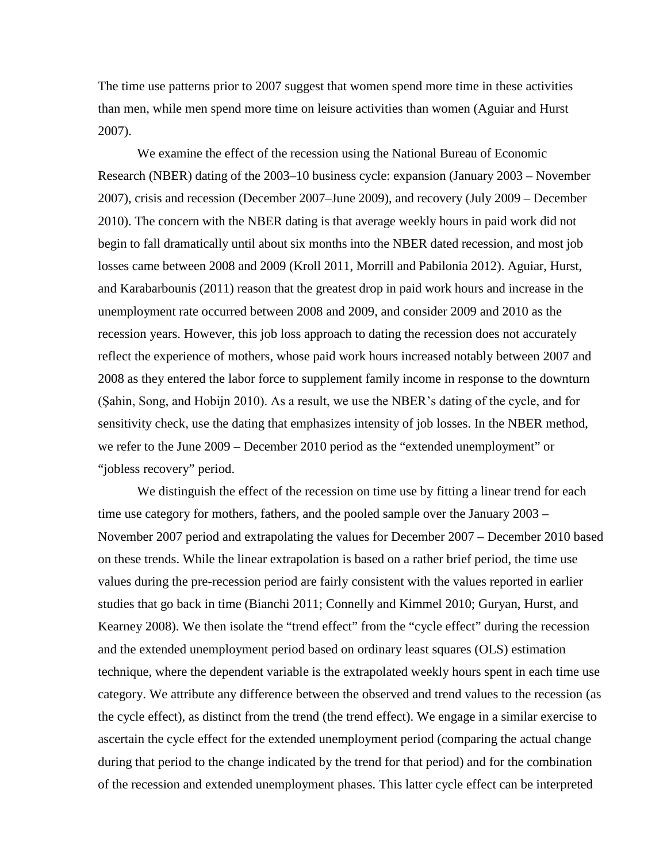The time use patterns prior to 2007 suggest that women spend more time in these activities than men, while men spend more time on leisure activities than women (Aguiar and Hurst 2007).

We examine the effect of the recession using the National Bureau of Economic Research (NBER) dating of the 2003–10 business cycle: expansion (January 2003 – November 2007), crisis and recession (December 2007–June 2009), and recovery (July 2009 – December 2010). The concern with the NBER dating is that average weekly hours in paid work did not begin to fall dramatically until about six months into the NBER dated recession, and most job losses came between 2008 and 2009 (Kroll 2011, Morrill and Pabilonia 2012). Aguiar, Hurst, and Karabarbounis (2011) reason that the greatest drop in paid work hours and increase in the unemployment rate occurred between 2008 and 2009, and consider 2009 and 2010 as the recession years. However, this job loss approach to dating the recession does not accurately reflect the experience of mothers, whose paid work hours increased notably between 2007 and 2008 as they entered the labor force to supplement family income in response to the downturn (Şahin, Song, and Hobijn 2010). As a result, we use the NBER's dating of the cycle, and for sensitivity check, use the dating that emphasizes intensity of job losses. In the NBER method, we refer to the June 2009 – December 2010 period as the "extended unemployment" or "jobless recovery" period.

We distinguish the effect of the recession on time use by fitting a linear trend for each time use category for mothers, fathers, and the pooled sample over the January 2003 – November 2007 period and extrapolating the values for December 2007 – December 2010 based on these trends. While the linear extrapolation is based on a rather brief period, the time use values during the pre-recession period are fairly consistent with the values reported in earlier studies that go back in time (Bianchi 2011; Connelly and Kimmel 2010; Guryan, Hurst, and Kearney 2008). We then isolate the "trend effect" from the "cycle effect" during the recession and the extended unemployment period based on ordinary least squares (OLS) estimation technique, where the dependent variable is the extrapolated weekly hours spent in each time use category. We attribute any difference between the observed and trend values to the recession (as the cycle effect), as distinct from the trend (the trend effect). We engage in a similar exercise to ascertain the cycle effect for the extended unemployment period (comparing the actual change during that period to the change indicated by the trend for that period) and for the combination of the recession and extended unemployment phases. This latter cycle effect can be interpreted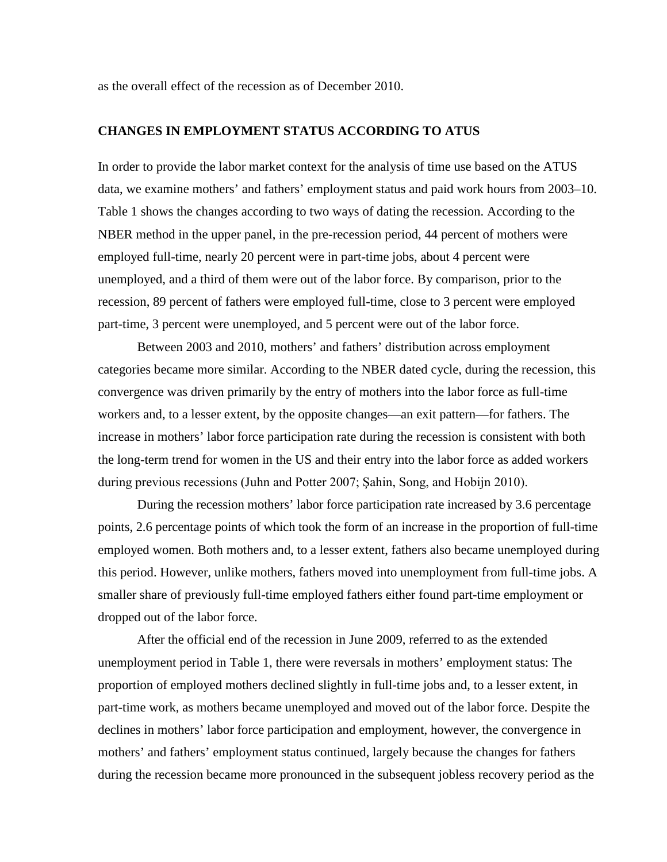as the overall effect of the recession as of December 2010.

### **CHANGES IN EMPLOYMENT STATUS ACCORDING TO ATUS**

In order to provide the labor market context for the analysis of time use based on the ATUS data, we examine mothers' and fathers' employment status and paid work hours from 2003–10. Table 1 shows the changes according to two ways of dating the recession. According to the NBER method in the upper panel, in the pre-recession period, 44 percent of mothers were employed full-time, nearly 20 percent were in part-time jobs, about 4 percent were unemployed, and a third of them were out of the labor force. By comparison, prior to the recession, 89 percent of fathers were employed full-time, close to 3 percent were employed part-time, 3 percent were unemployed, and 5 percent were out of the labor force.

Between 2003 and 2010, mothers' and fathers' distribution across employment categories became more similar. According to the NBER dated cycle, during the recession, this convergence was driven primarily by the entry of mothers into the labor force as full-time workers and, to a lesser extent, by the opposite changes—an exit pattern—for fathers. The increase in mothers' labor force participation rate during the recession is consistent with both the long-term trend for women in the US and their entry into the labor force as added workers during previous recessions (Juhn and Potter 2007; Şahin, Song, and Hobijn 2010).

During the recession mothers' labor force participation rate increased by 3.6 percentage points, 2.6 percentage points of which took the form of an increase in the proportion of full-time employed women. Both mothers and, to a lesser extent, fathers also became unemployed during this period. However, unlike mothers, fathers moved into unemployment from full-time jobs. A smaller share of previously full-time employed fathers either found part-time employment or dropped out of the labor force.

After the official end of the recession in June 2009, referred to as the extended unemployment period in Table 1, there were reversals in mothers' employment status: The proportion of employed mothers declined slightly in full-time jobs and, to a lesser extent, in part-time work, as mothers became unemployed and moved out of the labor force. Despite the declines in mothers' labor force participation and employment, however, the convergence in mothers' and fathers' employment status continued, largely because the changes for fathers during the recession became more pronounced in the subsequent jobless recovery period as the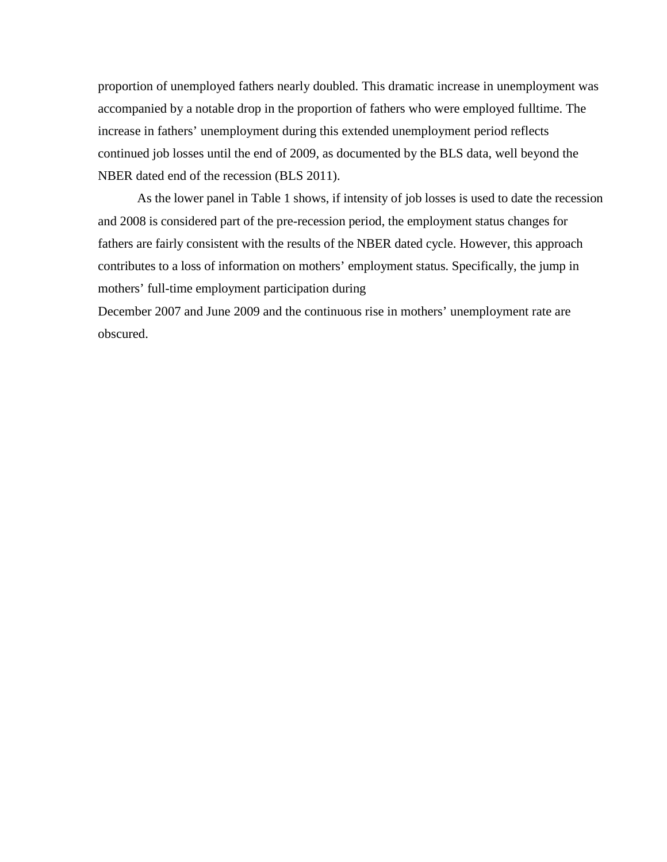proportion of unemployed fathers nearly doubled. This dramatic increase in unemployment was accompanied by a notable drop in the proportion of fathers who were employed fulltime. The increase in fathers' unemployment during this extended unemployment period reflects continued job losses until the end of 2009, as documented by the BLS data, well beyond the NBER dated end of the recession (BLS 2011).

As the lower panel in Table 1 shows, if intensity of job losses is used to date the recession and 2008 is considered part of the pre-recession period, the employment status changes for fathers are fairly consistent with the results of the NBER dated cycle. However, this approach contributes to a loss of information on mothers' employment status. Specifically, the jump in mothers' full-time employment participation during

December 2007 and June 2009 and the continuous rise in mothers' unemployment rate are obscured.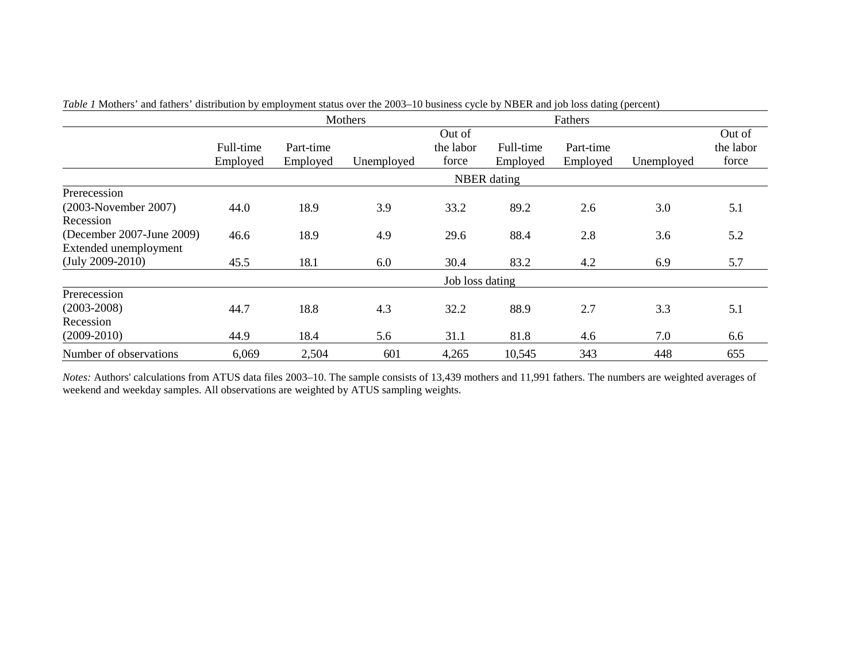|                                                                                                                               |                       |                       | Mothers           |                              |                       |                       |                   |                              |
|-------------------------------------------------------------------------------------------------------------------------------|-----------------------|-----------------------|-------------------|------------------------------|-----------------------|-----------------------|-------------------|------------------------------|
|                                                                                                                               | Full-time<br>Employed | Part-time<br>Employed | Unemployed        | Out of<br>the labor<br>force | Full-time<br>Employed | Part-time<br>Employed | Unemployed        | Out of<br>the labor<br>force |
|                                                                                                                               |                       |                       |                   |                              | <b>NBER</b> dating    |                       |                   |                              |
| Prerecession<br>(2003-November 2007)<br>Recession<br>(December 2007-June 2009)<br>Extended unemployment<br>$(July 2009-2010)$ | 44.0<br>46.6<br>45.5  | 18.9<br>18.9<br>18.1  | 3.9<br>4.9<br>6.0 | 33.2<br>29.6<br>30.4         | 89.2<br>88.4<br>83.2  | 2.6<br>2.8<br>4.2     | 3.0<br>3.6<br>6.9 | 5.1<br>5.2<br>5.7            |
|                                                                                                                               |                       |                       |                   | Job loss dating              |                       |                       |                   |                              |
| Prerecession<br>$(2003 - 2008)$<br>Recession<br>$(2009-2010)$                                                                 | 44.7<br>44.9          | 18.8<br>18.4          | 4.3<br>5.6        | 32.2<br>31.1                 | 88.9<br>81.8          | 2.7<br>4.6            | 3.3<br>7.0        | 5.1<br>6.6                   |
| Number of observations                                                                                                        | 6,069                 | 2,504                 | 601               | 4,265                        | 10,545                | 343                   | 448               | 655                          |

*Table 1* Mothers' and fathers' distribution by employment status over the 2003–10 business cycle by NBER and job loss dating (percent)

*Notes:* Authors' calculations from ATUS data files 2003–10. The sample consists of 13,439 mothers and 11,991 fathers. The numbers are weighted averages of weekend and weekday samples. All observations are weighted by ATUS sampling weights.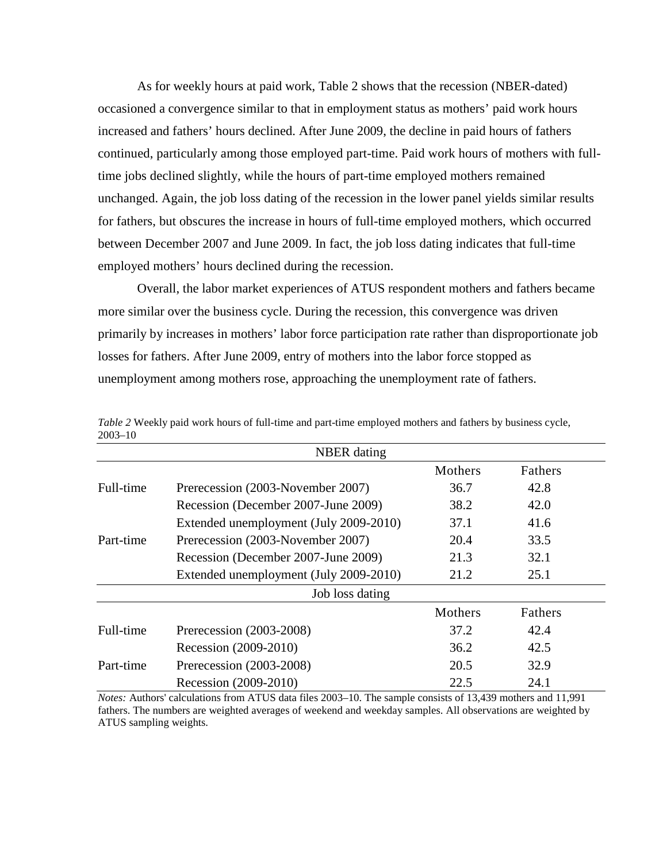As for weekly hours at paid work, Table 2 shows that the recession (NBER-dated) occasioned a convergence similar to that in employment status as mothers' paid work hours increased and fathers' hours declined. After June 2009, the decline in paid hours of fathers continued, particularly among those employed part-time. Paid work hours of mothers with fulltime jobs declined slightly, while the hours of part-time employed mothers remained unchanged. Again, the job loss dating of the recession in the lower panel yields similar results for fathers, but obscures the increase in hours of full-time employed mothers, which occurred between December 2007 and June 2009. In fact, the job loss dating indicates that full-time employed mothers' hours declined during the recession.

Overall, the labor market experiences of ATUS respondent mothers and fathers became more similar over the business cycle. During the recession, this convergence was driven primarily by increases in mothers' labor force participation rate rather than disproportionate job losses for fathers. After June 2009, entry of mothers into the labor force stopped as unemployment among mothers rose, approaching the unemployment rate of fathers.

|           | <b>NBER</b> dating                     |         |         |  |
|-----------|----------------------------------------|---------|---------|--|
|           |                                        | Mothers | Fathers |  |
| Full-time | Prerecession (2003-November 2007)      | 36.7    | 42.8    |  |
|           | Recession (December 2007-June 2009)    | 38.2    | 42.0    |  |
|           | Extended unemployment (July 2009-2010) | 37.1    | 41.6    |  |
| Part-time | Prerecession (2003-November 2007)      | 20.4    | 33.5    |  |
|           | Recession (December 2007-June 2009)    | 21.3    | 32.1    |  |
|           | Extended unemployment (July 2009-2010) | 21.2    | 25.1    |  |
|           | Job loss dating                        |         |         |  |
|           |                                        | Mothers | Fathers |  |
| Full-time | Prerecession (2003-2008)               | 37.2    | 42.4    |  |
|           | Recession (2009-2010)                  | 36.2    | 42.5    |  |
| Part-time | Prerecession (2003-2008)               | 20.5    | 32.9    |  |
|           | Recession (2009-2010)                  | 22.5    | 24.1    |  |

*Table 2* Weekly paid work hours of full-time and part-time employed mothers and fathers by business cycle, 2003–10

*Notes:* Authors' calculations from ATUS data files 2003–10. The sample consists of 13,439 mothers and 11,991 fathers. The numbers are weighted averages of weekend and weekday samples. All observations are weighted by ATUS sampling weights.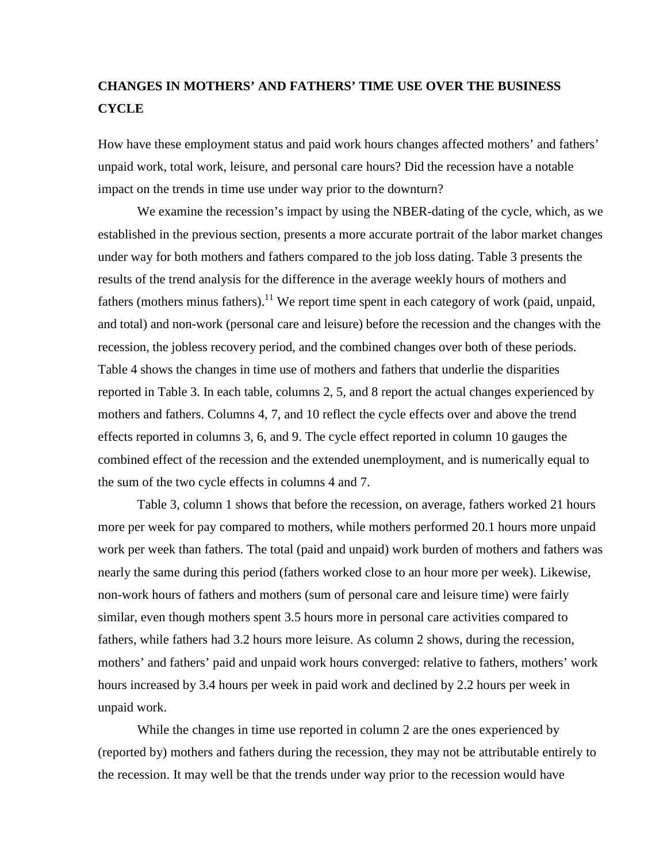# **CHANGES IN MOTHERS' AND FATHERS' TIME USE OVER THE BUSINESS CYCLE**

How have these employment status and paid work hours changes affected mothers' and fathers' unpaid work, total work, leisure, and personal care hours? Did the recession have a notable impact on the trends in time use under way prior to the downturn?

We examine the recession's impact by using the NBER-dating of the cycle, which, as we established in the previous section, presents a more accurate portrait of the labor market changes under way for both mothers and fathers compared to the job loss dating. Table 3 presents the results of the trend analysis for the difference in the average weekly hours of mothers and fathers (mothers minus fathers).<sup>11</sup> We report time spent in each category of work (paid, unpaid, and total) and non-work (personal care and leisure) before the recession and the changes with the recession, the jobless recovery period, and the combined changes over both of these periods. Table 4 shows the changes in time use of mothers and fathers that underlie the disparities reported in Table 3. In each table, columns 2, 5, and 8 report the actual changes experienced by mothers and fathers. Columns 4, 7, and 10 reflect the cycle effects over and above the trend effects reported in columns 3, 6, and 9. The cycle effect reported in column 10 gauges the combined effect of the recession and the extended unemployment, and is numerically equal to the sum of the two cycle effects in columns 4 and 7.

Table 3, column 1 shows that before the recession, on average, fathers worked 21 hours more per week for pay compared to mothers, while mothers performed 20.1 hours more unpaid work per week than fathers. The total (paid and unpaid) work burden of mothers and fathers was nearly the same during this period (fathers worked close to an hour more per week). Likewise, non-work hours of fathers and mothers (sum of personal care and leisure time) were fairly similar, even though mothers spent 3.5 hours more in personal care activities compared to fathers, while fathers had 3.2 hours more leisure. As column 2 shows, during the recession, mothers' and fathers' paid and unpaid work hours converged: relative to fathers, mothers' work hours increased by 3.4 hours per week in paid work and declined by 2.2 hours per week in unpaid work.

While the changes in time use reported in column 2 are the ones experienced by (reported by) mothers and fathers during the recession, they may not be attributable entirely to the recession. It may well be that the trends under way prior to the recession would have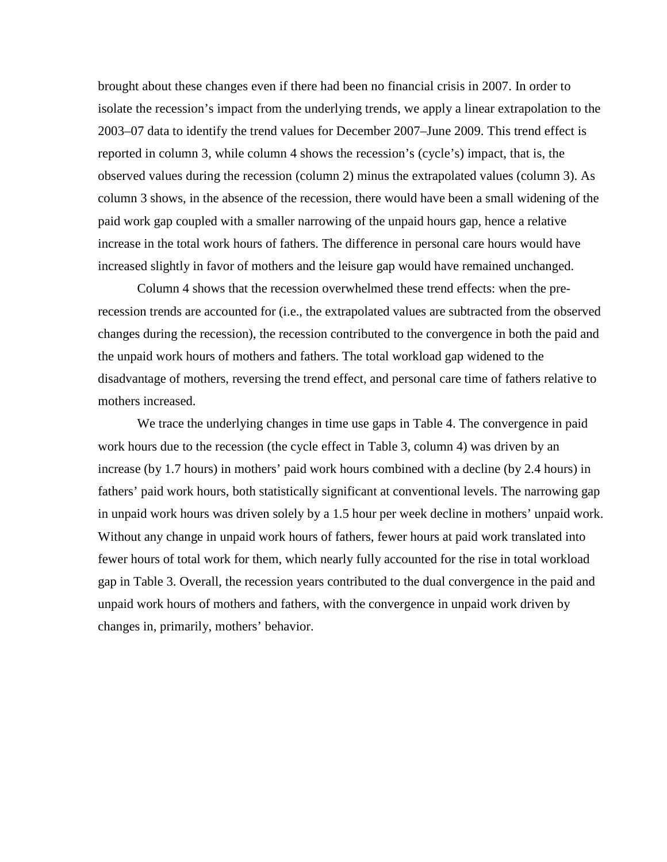brought about these changes even if there had been no financial crisis in 2007. In order to isolate the recession's impact from the underlying trends, we apply a linear extrapolation to the 2003–07 data to identify the trend values for December 2007–June 2009. This trend effect is reported in column 3, while column 4 shows the recession's (cycle's) impact, that is, the observed values during the recession (column 2) minus the extrapolated values (column 3). As column 3 shows, in the absence of the recession, there would have been a small widening of the paid work gap coupled with a smaller narrowing of the unpaid hours gap, hence a relative increase in the total work hours of fathers. The difference in personal care hours would have increased slightly in favor of mothers and the leisure gap would have remained unchanged.

Column 4 shows that the recession overwhelmed these trend effects: when the prerecession trends are accounted for (i.e., the extrapolated values are subtracted from the observed changes during the recession), the recession contributed to the convergence in both the paid and the unpaid work hours of mothers and fathers. The total workload gap widened to the disadvantage of mothers, reversing the trend effect, and personal care time of fathers relative to mothers increased.

We trace the underlying changes in time use gaps in Table 4. The convergence in paid work hours due to the recession (the cycle effect in Table 3, column 4) was driven by an increase (by 1.7 hours) in mothers' paid work hours combined with a decline (by 2.4 hours) in fathers' paid work hours, both statistically significant at conventional levels. The narrowing gap in unpaid work hours was driven solely by a 1.5 hour per week decline in mothers' unpaid work. Without any change in unpaid work hours of fathers, fewer hours at paid work translated into fewer hours of total work for them, which nearly fully accounted for the rise in total workload gap in Table 3. Overall, the recession years contributed to the dual convergence in the paid and unpaid work hours of mothers and fathers, with the convergence in unpaid work driven by changes in, primarily, mothers' behavior.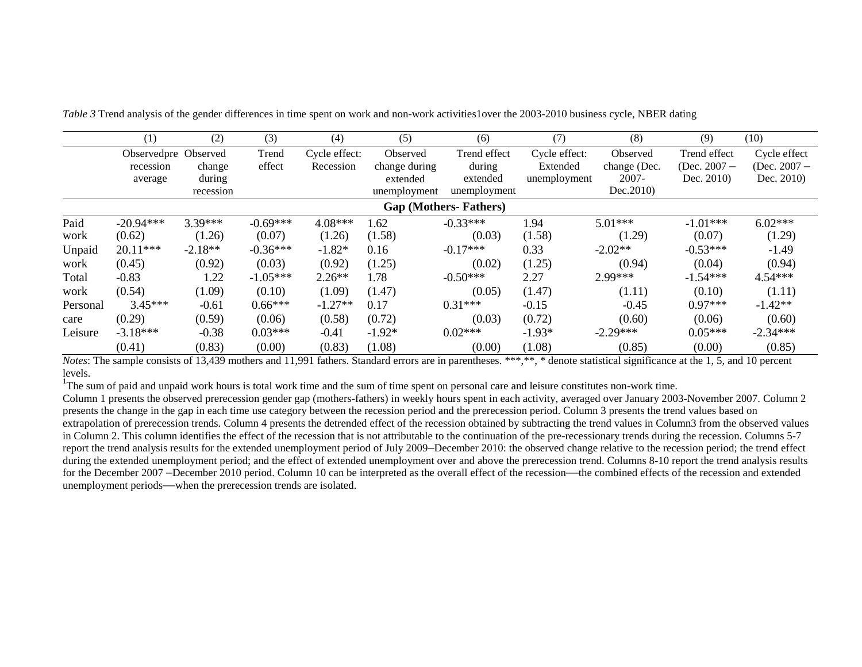|              | (1)                                          | (2)                           | (3)                  | (4)                        | (5)                                                   | (6)                                                | (7)                                       | (8)                                                | (9)                                          | (10)                                         |
|--------------|----------------------------------------------|-------------------------------|----------------------|----------------------------|-------------------------------------------------------|----------------------------------------------------|-------------------------------------------|----------------------------------------------------|----------------------------------------------|----------------------------------------------|
|              | Observedpre Observed<br>recession<br>average | change<br>during<br>recession | Trend<br>effect      | Cycle effect:<br>Recession | Observed<br>change during<br>extended<br>unemployment | Trend effect<br>during<br>extended<br>unemployment | Cycle effect:<br>Extended<br>unemployment | Observed<br>change (Dec.<br>$2007 -$<br>Dec. 2010) | Trend effect<br>(Dec. $2007 -$<br>Dec. 2010) | Cycle effect<br>(Dec. $2007 -$<br>Dec. 2010) |
|              |                                              |                               |                      |                            |                                                       | <b>Gap (Mothers-Fathers)</b>                       |                                           |                                                    |                                              |                                              |
| Paid<br>work | $-20.94***$<br>(0.62)                        | $3.39***$<br>(1.26)           | $-0.69***$<br>(0.07) | $4.08***$<br>(1.26)        | l.62<br>(1.58)                                        | $-0.33***$<br>(0.03)                               | 1.94<br>(1.58)                            | $5.01***$<br>(1.29)                                | $-1.01***$<br>(0.07)                         | $6.02***$<br>(1.29)                          |
| Unpaid       | $20.11***$                                   | $-2.18**$                     | $-0.36***$           | $-1.82*$                   | 0.16                                                  | $-0.17***$                                         | 0.33                                      | $-2.02**$                                          | $-0.53***$                                   | $-1.49$                                      |
| work         | (0.45)                                       | (0.92)                        | (0.03)               | (0.92)                     | (1.25)                                                | (0.02)                                             | (1.25)                                    | (0.94)                                             | (0.04)                                       | (0.94)                                       |
| Total        | $-0.83$                                      | 1.22                          | $-1.05***$           | $2.26**$                   | 1.78                                                  | $-0.50***$                                         | 2.27                                      | $2.99***$                                          | $-1.54***$                                   | $4.54***$                                    |
| work         | (0.54)                                       | (1.09)                        | (0.10)               | (1.09)                     | (1.47)                                                | (0.05)                                             | (1.47)                                    | (1.11)                                             | (0.10)                                       | (1.11)                                       |
| Personal     | $3.45***$                                    | $-0.61$                       | $0.66***$            | $-1.27**$                  | 0.17                                                  | $0.31***$                                          | $-0.15$                                   | $-0.45$                                            | $0.97***$                                    | $-1.42**$                                    |
| care         | (0.29)                                       | (0.59)                        | (0.06)               | (0.58)                     | (0.72)                                                | (0.03)                                             | (0.72)                                    | (0.60)                                             | (0.06)                                       | (0.60)                                       |
| Leisure      | $-3.18***$                                   | $-0.38$                       | $0.03***$            | $-0.41$                    | $-1.92*$                                              | $0.02***$                                          | $-1.93*$                                  | $-2.29***$                                         | $0.05***$                                    | $-2.34***$                                   |
|              | (0.41)                                       | (0.83)                        | (0.00)               | (0.83)                     | (1.08)                                                | (0.00)                                             | (1.08)                                    | (0.85)                                             | (0.00)                                       | (0.85)                                       |

*Table 3* Trend analysis of the gender differences in time spent on work and non-work activities1over the 2003-2010 business cycle, NBER dating

*Notes*: The sample consists of 13,439 mothers and 11,991 fathers. Standard errors are in parentheses. \*\*\*,\*\*, \* denote statistical significance at the 1, 5, and 10 percent levels.

<sup>1</sup>The sum of paid and unpaid work hours is total work time and the sum of time spent on personal care and leisure constitutes non-work time.

Column 1 presents the observed prerecession gender gap (mothers-fathers) in weekly hours spent in each activity, averaged over January 2003-November 2007. Column 2 presents the change in the gap in each time use category between the recession period and the prerecession period. Column 3 presents the trend values based on extrapolation of prerecession trends. Column 4 presents the detrended effect of the recession obtained by subtracting the trend values in Column3 from the observed values in Column 2. This column identifies the effect of the recession that is not attributable to the continuation of the pre-recessionary trends during the recession. Columns 5-7 report the trend analysis results for the extended unemployment period of July 2009–December 2010: the observed change relative to the recession period; the trend effect during the extended unemployment period; and the effect of extended unemployment over and above the prerecession trend. Columns 8-10 report the trend analysis results for the December 2007 –December 2010 period. Column 10 can be interpreted as the overall effect of the recession—the combined effects of the recession and extended unemployment periods—when the prerecession trends are isolated.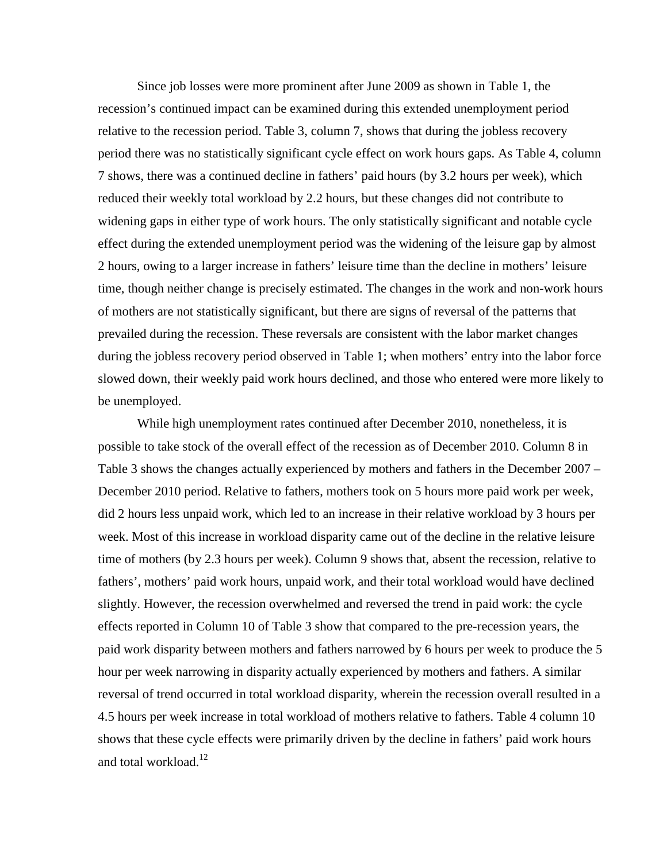Since job losses were more prominent after June 2009 as shown in Table 1, the recession's continued impact can be examined during this extended unemployment period relative to the recession period. Table 3, column 7, shows that during the jobless recovery period there was no statistically significant cycle effect on work hours gaps. As Table 4, column 7 shows, there was a continued decline in fathers' paid hours (by 3.2 hours per week), which reduced their weekly total workload by 2.2 hours, but these changes did not contribute to widening gaps in either type of work hours. The only statistically significant and notable cycle effect during the extended unemployment period was the widening of the leisure gap by almost 2 hours, owing to a larger increase in fathers' leisure time than the decline in mothers' leisure time, though neither change is precisely estimated. The changes in the work and non-work hours of mothers are not statistically significant, but there are signs of reversal of the patterns that prevailed during the recession. These reversals are consistent with the labor market changes during the jobless recovery period observed in Table 1; when mothers' entry into the labor force slowed down, their weekly paid work hours declined, and those who entered were more likely to be unemployed.

While high unemployment rates continued after December 2010, nonetheless, it is possible to take stock of the overall effect of the recession as of December 2010. Column 8 in Table 3 shows the changes actually experienced by mothers and fathers in the December 2007 – December 2010 period. Relative to fathers, mothers took on 5 hours more paid work per week, did 2 hours less unpaid work, which led to an increase in their relative workload by 3 hours per week. Most of this increase in workload disparity came out of the decline in the relative leisure time of mothers (by 2.3 hours per week). Column 9 shows that, absent the recession, relative to fathers', mothers' paid work hours, unpaid work, and their total workload would have declined slightly. However, the recession overwhelmed and reversed the trend in paid work: the cycle effects reported in Column 10 of Table 3 show that compared to the pre-recession years, the paid work disparity between mothers and fathers narrowed by 6 hours per week to produce the 5 hour per week narrowing in disparity actually experienced by mothers and fathers. A similar reversal of trend occurred in total workload disparity, wherein the recession overall resulted in a 4.5 hours per week increase in total workload of mothers relative to fathers. Table 4 column 10 shows that these cycle effects were primarily driven by the decline in fathers' paid work hours and total workload.<sup>12</sup>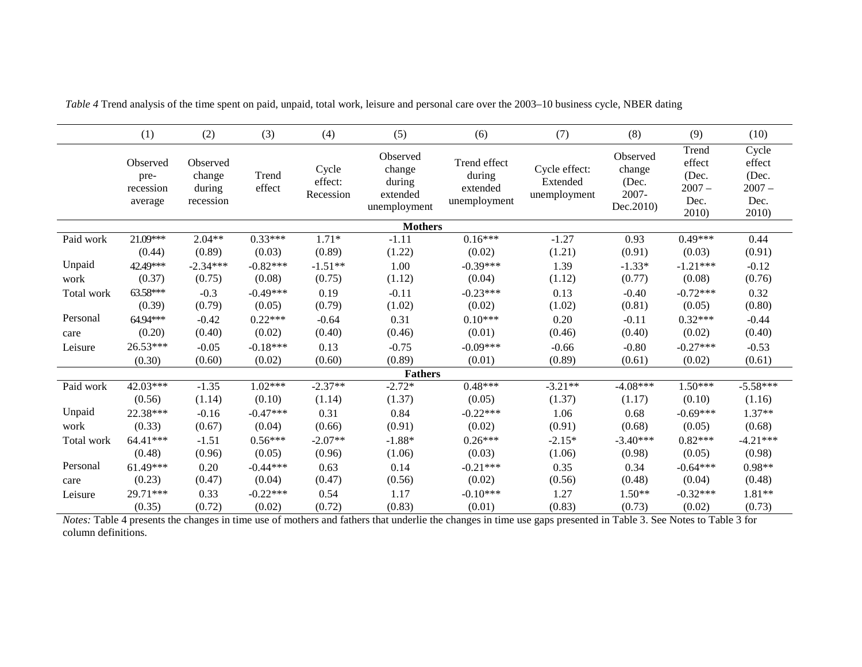|            | (1)                                      | (2)                                       | (3)                 | (4)                           | (5)                                                      | (6)                                                | (7)                                       | (8)                                                | (9)                                                   | (10)                                                  |
|------------|------------------------------------------|-------------------------------------------|---------------------|-------------------------------|----------------------------------------------------------|----------------------------------------------------|-------------------------------------------|----------------------------------------------------|-------------------------------------------------------|-------------------------------------------------------|
|            | Observed<br>pre-<br>recession<br>average | Observed<br>change<br>during<br>recession | Trend<br>effect     | Cycle<br>effect:<br>Recession | Observed<br>change<br>during<br>extended<br>unemployment | Trend effect<br>during<br>extended<br>unemployment | Cycle effect:<br>Extended<br>unemployment | Observed<br>change<br>(Dec.<br>2007-<br>Dec. 2010) | Trend<br>effect<br>(Dec.<br>$2007 -$<br>Dec.<br>2010) | Cycle<br>effect<br>(Dec.<br>$2007 -$<br>Dec.<br>2010) |
|            |                                          |                                           |                     |                               | <b>Mothers</b>                                           |                                                    |                                           |                                                    |                                                       |                                                       |
| Paid work  | 21.09***<br>(0.44)                       | $2.04**$<br>(0.89)                        | $0.33***$<br>(0.03) | $1.71*$<br>(0.89)             | $-1.11$<br>(1.22)                                        | $0.16***$<br>(0.02)                                | $-1.27$<br>(1.21)                         | 0.93<br>(0.91)                                     | $0.49***$<br>(0.03)                                   | 0.44<br>(0.91)                                        |
| Unpaid     | 42.49***                                 | $-2.34***$                                | $-0.82***$          | $-1.51**$                     | 1.00                                                     | $-0.39***$                                         | 1.39                                      | $-1.33*$                                           | $-1.21***$                                            | $-0.12$                                               |
| work       | (0.37)                                   | (0.75)                                    | (0.08)              | (0.75)                        | (1.12)                                                   | (0.04)                                             | (1.12)                                    | (0.77)                                             | (0.08)                                                | (0.76)                                                |
| Total work | 63.58***                                 | $-0.3$                                    | $-0.49***$          | 0.19                          | $-0.11$                                                  | $-0.23***$                                         | 0.13                                      | $-0.40$                                            | $-0.72***$                                            | 0.32                                                  |
|            | (0.39)                                   | (0.79)                                    | (0.05)              | (0.79)                        | (1.02)                                                   | (0.02)                                             | (1.02)                                    | (0.81)                                             | (0.05)                                                | (0.80)                                                |
| Personal   | 64.94***                                 | $-0.42$                                   | $0.22***$           | $-0.64$                       | 0.31                                                     | $0.10***$                                          | 0.20                                      | $-0.11$                                            | $0.32***$                                             | $-0.44$                                               |
| care       | (0.20)                                   | (0.40)                                    | (0.02)              | (0.40)                        | (0.46)                                                   | (0.01)                                             | (0.46)                                    | (0.40)                                             | (0.02)                                                | (0.40)                                                |
| Leisure    | 26.53***                                 | $-0.05$                                   | $-0.18***$          | 0.13                          | $-0.75$                                                  | $-0.09***$                                         | $-0.66$                                   | $-0.80$                                            | $-0.27***$                                            | $-0.53$                                               |
|            | (0.30)                                   | (0.60)                                    | (0.02)              | (0.60)                        | (0.89)                                                   | (0.01)                                             | (0.89)                                    | (0.61)                                             | (0.02)                                                | (0.61)                                                |
|            |                                          |                                           |                     |                               | <b>Fathers</b>                                           |                                                    |                                           |                                                    |                                                       |                                                       |
| Paid work  | 42.03***                                 | $-1.35$                                   | $1.02***$           | $-2.37**$                     | $-2.72*$                                                 | $0.48***$                                          | $-3.21**$                                 | $-4.08***$                                         | $1.50***$                                             | $-5.58***$                                            |
|            | (0.56)                                   | (1.14)                                    | (0.10)              | (1.14)                        | (1.37)                                                   | (0.05)                                             | (1.37)                                    | (1.17)                                             | (0.10)                                                | (1.16)                                                |
| Unpaid     | 22.38***                                 | $-0.16$                                   | $-0.47***$          | 0.31                          | 0.84                                                     | $-0.22***$                                         | 1.06                                      | 0.68                                               | $-0.69***$                                            | $1.37**$                                              |
| work       | (0.33)                                   | (0.67)                                    | (0.04)              | (0.66)                        | (0.91)                                                   | (0.02)                                             | (0.91)                                    | (0.68)                                             | (0.05)                                                | (0.68)                                                |
| Total work | 64.41***                                 | $-1.51$                                   | $0.56***$           | $-2.07**$                     | $-1.88*$                                                 | $0.26***$                                          | $-2.15*$                                  | $-3.40***$                                         | $0.82***$                                             | $-4.21***$                                            |
|            | (0.48)                                   | (0.96)                                    | (0.05)              | (0.96)                        | (1.06)                                                   | (0.03)                                             | (1.06)                                    | (0.98)                                             | (0.05)                                                | (0.98)                                                |
| Personal   | 61.49***                                 | 0.20                                      | $-0.44***$          | 0.63                          | 0.14                                                     | $-0.21***$                                         | 0.35                                      | 0.34                                               | $-0.64***$                                            | $0.98**$                                              |
| care       | (0.23)                                   | (0.47)                                    | (0.04)              | (0.47)                        | (0.56)                                                   | (0.02)                                             | (0.56)                                    | (0.48)                                             | (0.04)                                                | (0.48)                                                |
| Leisure    | 29.71***                                 | 0.33                                      | $-0.22***$          | 0.54                          | 1.17                                                     | $-0.10***$                                         | 1.27                                      | $1.50**$                                           | $-0.32***$                                            | 1.81**                                                |
|            | (0.35)                                   | (0.72)                                    | (0.02)              | (0.72)                        | (0.83)                                                   | (0.01)                                             | (0.83)                                    | (0.73)                                             | (0.02)                                                | (0.73)                                                |

*Table 4* Trend analysis of the time spent on paid, unpaid, total work, leisure and personal care over the 2003–10 business cycle, NBER dating

*Notes:* Table 4 presents the changes in time use of mothers and fathers that underlie the changes in time use gaps presented in Table 3. See Notes to Table 3 for column definitions.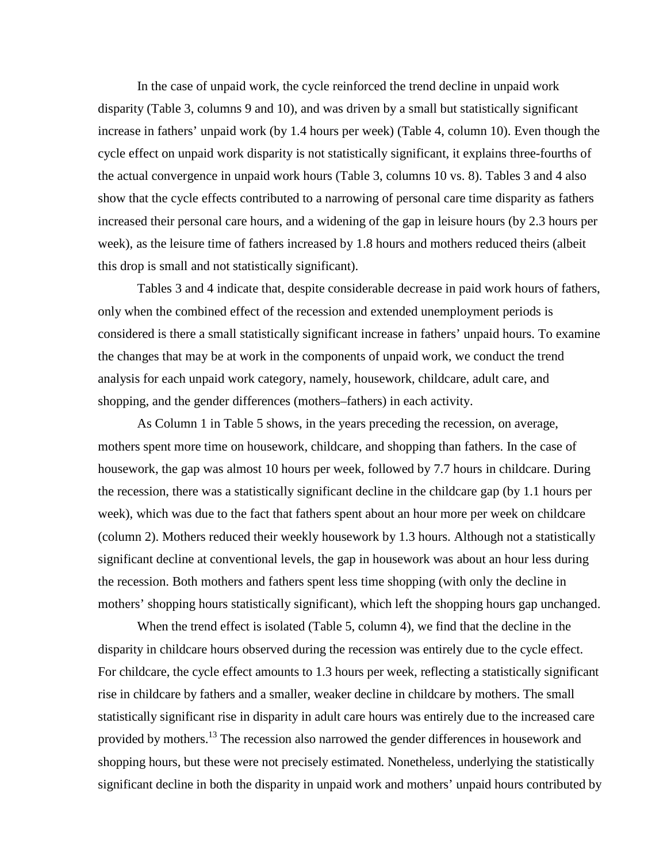In the case of unpaid work, the cycle reinforced the trend decline in unpaid work disparity (Table 3, columns 9 and 10), and was driven by a small but statistically significant increase in fathers' unpaid work (by 1.4 hours per week) (Table 4, column 10). Even though the cycle effect on unpaid work disparity is not statistically significant, it explains three-fourths of the actual convergence in unpaid work hours (Table 3, columns 10 vs. 8). Tables 3 and 4 also show that the cycle effects contributed to a narrowing of personal care time disparity as fathers increased their personal care hours, and a widening of the gap in leisure hours (by 2.3 hours per week), as the leisure time of fathers increased by 1.8 hours and mothers reduced theirs (albeit this drop is small and not statistically significant).

Tables 3 and 4 indicate that, despite considerable decrease in paid work hours of fathers, only when the combined effect of the recession and extended unemployment periods is considered is there a small statistically significant increase in fathers' unpaid hours. To examine the changes that may be at work in the components of unpaid work, we conduct the trend analysis for each unpaid work category, namely, housework, childcare, adult care, and shopping, and the gender differences (mothers–fathers) in each activity.

As Column 1 in Table 5 shows, in the years preceding the recession, on average, mothers spent more time on housework, childcare, and shopping than fathers. In the case of housework, the gap was almost 10 hours per week, followed by 7.7 hours in childcare. During the recession, there was a statistically significant decline in the childcare gap (by 1.1 hours per week), which was due to the fact that fathers spent about an hour more per week on childcare (column 2). Mothers reduced their weekly housework by 1.3 hours. Although not a statistically significant decline at conventional levels, the gap in housework was about an hour less during the recession. Both mothers and fathers spent less time shopping (with only the decline in mothers' shopping hours statistically significant), which left the shopping hours gap unchanged.

When the trend effect is isolated (Table 5, column 4), we find that the decline in the disparity in childcare hours observed during the recession was entirely due to the cycle effect. For childcare, the cycle effect amounts to 1.3 hours per week, reflecting a statistically significant rise in childcare by fathers and a smaller, weaker decline in childcare by mothers. The small statistically significant rise in disparity in adult care hours was entirely due to the increased care provided by mothers.<sup>13</sup> The recession also narrowed the gender differences in housework and shopping hours, but these were not precisely estimated. Nonetheless, underlying the statistically significant decline in both the disparity in unpaid work and mothers' unpaid hours contributed by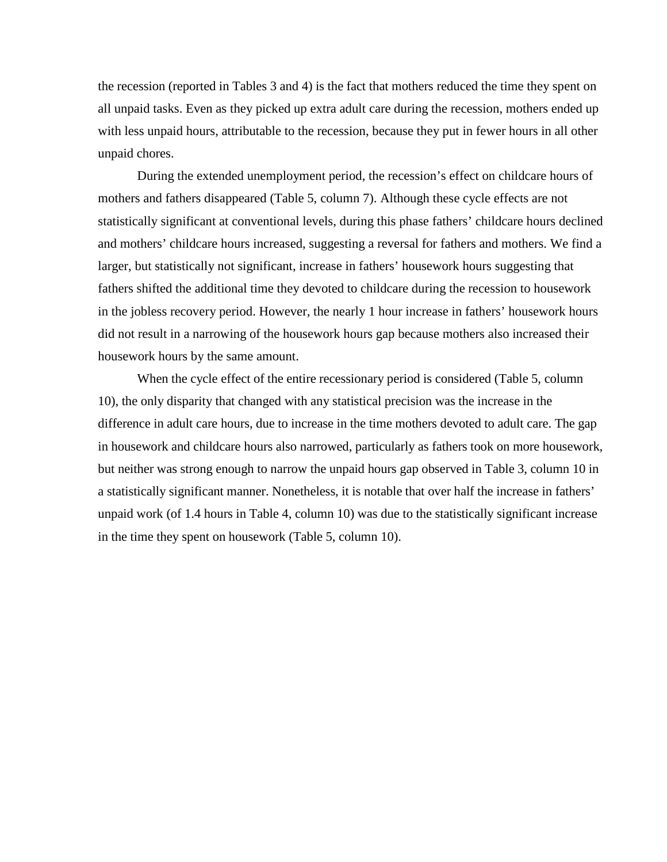the recession (reported in Tables 3 and 4) is the fact that mothers reduced the time they spent on all unpaid tasks. Even as they picked up extra adult care during the recession, mothers ended up with less unpaid hours, attributable to the recession, because they put in fewer hours in all other unpaid chores.

During the extended unemployment period, the recession's effect on childcare hours of mothers and fathers disappeared (Table 5, column 7). Although these cycle effects are not statistically significant at conventional levels, during this phase fathers' childcare hours declined and mothers' childcare hours increased, suggesting a reversal for fathers and mothers. We find a larger, but statistically not significant, increase in fathers' housework hours suggesting that fathers shifted the additional time they devoted to childcare during the recession to housework in the jobless recovery period. However, the nearly 1 hour increase in fathers' housework hours did not result in a narrowing of the housework hours gap because mothers also increased their housework hours by the same amount.

When the cycle effect of the entire recessionary period is considered (Table 5, column 10), the only disparity that changed with any statistical precision was the increase in the difference in adult care hours, due to increase in the time mothers devoted to adult care. The gap in housework and childcare hours also narrowed, particularly as fathers took on more housework, but neither was strong enough to narrow the unpaid hours gap observed in Table 3, column 10 in a statistically significant manner. Nonetheless, it is notable that over half the increase in fathers' unpaid work (of 1.4 hours in Table 4, column 10) was due to the statistically significant increase in the time they spent on housework (Table 5, column 10).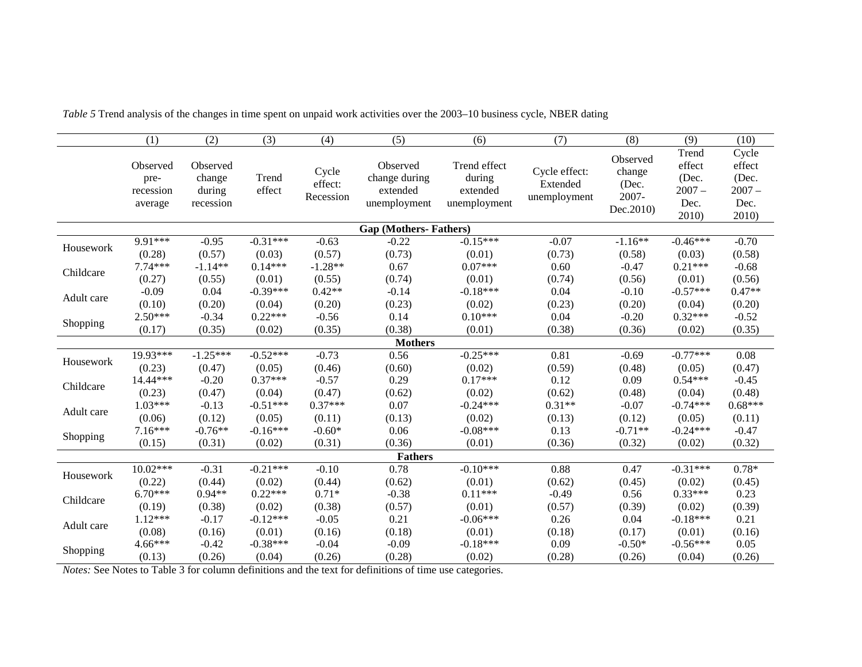|            | (1)                                      | (2)                                       | (3)             | (4)                           | (5)                                                   | (6)                                                | (7)                                       | (8)                                                | (9)                                          | (10)                                         |
|------------|------------------------------------------|-------------------------------------------|-----------------|-------------------------------|-------------------------------------------------------|----------------------------------------------------|-------------------------------------------|----------------------------------------------------|----------------------------------------------|----------------------------------------------|
|            | Observed<br>pre-<br>recession<br>average | Observed<br>change<br>during<br>recession | Trend<br>effect | Cycle<br>effect:<br>Recession | Observed<br>change during<br>extended<br>unemployment | Trend effect<br>during<br>extended<br>unemployment | Cycle effect:<br>Extended<br>unemployment | Observed<br>change<br>(Dec.<br>2007-<br>Dec. 2010) | Trend<br>effect<br>(Dec.<br>$2007 -$<br>Dec. | Cycle<br>effect<br>(Dec.<br>$2007 -$<br>Dec. |
|            |                                          |                                           |                 |                               | <b>Gap (Mothers-Fathers)</b>                          |                                                    |                                           |                                                    | 2010                                         | 2010)                                        |
| Housework  | 9.91***                                  | $-0.95$                                   | $-0.31***$      | $-0.63$                       | $-0.22$                                               | $-0.15***$                                         | $-0.07$                                   | $-1.16**$                                          | $-0.46***$                                   | $-0.70$                                      |
|            | (0.28)                                   | (0.57)                                    | (0.03)          | (0.57)                        | (0.73)                                                | (0.01)                                             | (0.73)                                    | (0.58)                                             | (0.03)                                       | (0.58)                                       |
| Childcare  | $7.74***$                                | $-1.14**$                                 | $0.14***$       | $-1.28**$                     | 0.67                                                  | $0.07***$                                          | 0.60                                      | $-0.47$                                            | $0.21***$                                    | $-0.68$                                      |
|            | (0.27)                                   | (0.55)                                    | (0.01)          | (0.55)                        | (0.74)                                                | (0.01)                                             | (0.74)                                    | (0.56)                                             | (0.01)                                       | (0.56)                                       |
| Adult care | $-0.09$                                  | 0.04                                      | $-0.39***$      | $0.42**$                      | $-0.14$                                               | $-0.18***$                                         | 0.04                                      | $-0.10$                                            | $-0.57***$                                   | $0.47**$                                     |
|            | (0.10)                                   | (0.20)                                    | (0.04)          | (0.20)                        | (0.23)                                                | (0.02)                                             | (0.23)                                    | (0.20)                                             | (0.04)                                       | (0.20)                                       |
| Shopping   | $2.50***$                                | $-0.34$                                   | $0.22***$       | $-0.56$                       | 0.14                                                  | $0.10***$                                          | 0.04                                      | $-0.20$                                            | $0.32***$                                    | $-0.52$                                      |
|            | (0.17)                                   | (0.35)                                    | (0.02)          | (0.35)                        | (0.38)                                                | (0.01)                                             | (0.38)                                    | (0.36)                                             | (0.02)                                       | (0.35)                                       |
|            |                                          |                                           |                 |                               | <b>Mothers</b>                                        |                                                    |                                           |                                                    |                                              |                                              |
| Housework  | 19.93***                                 | $-1.25***$                                | $-0.52***$      | $-0.73$                       | 0.56                                                  | $-0.25***$                                         | 0.81                                      | $-0.69$                                            | $-0.77***$                                   | 0.08                                         |
|            | (0.23)                                   | (0.47)                                    | (0.05)          | (0.46)                        | (0.60)                                                | (0.02)                                             | (0.59)                                    | (0.48)                                             | (0.05)                                       | (0.47)                                       |
| Childcare  | 14.44***                                 | $-0.20$                                   | $0.37***$       | $-0.57$                       | 0.29                                                  | $0.17***$                                          | 0.12                                      | 0.09                                               | $0.54***$                                    | $-0.45$                                      |
|            | (0.23)                                   | (0.47)                                    | (0.04)          | (0.47)                        | (0.62)                                                | (0.02)                                             | (0.62)                                    | (0.48)                                             | (0.04)                                       | (0.48)                                       |
| Adult care | $1.03***$                                | $-0.13$                                   | $-0.51***$      | $0.37***$                     | 0.07                                                  | $-0.24***$                                         | $0.31**$                                  | $-0.07$                                            | $-0.74***$                                   | $0.68***$                                    |
|            | (0.06)                                   | (0.12)                                    | (0.05)          | (0.11)                        | (0.13)                                                | (0.02)                                             | (0.13)                                    | (0.12)                                             | (0.05)                                       | (0.11)                                       |
| Shopping   | $7.16***$                                | $-0.76**$                                 | $-0.16***$      | $-0.60*$                      | 0.06                                                  | $-0.08***$                                         | 0.13                                      | $-0.71**$                                          | $-0.24***$                                   | $-0.47$                                      |
|            | (0.15)                                   | (0.31)                                    | (0.02)          | (0.31)                        | (0.36)                                                | (0.01)                                             | (0.36)                                    | (0.32)                                             | (0.02)                                       | (0.32)                                       |
|            |                                          |                                           |                 |                               | <b>Fathers</b>                                        |                                                    |                                           |                                                    |                                              |                                              |
| Housework  | $10.02***$                               | $-0.31$                                   | $-0.21***$      | $-0.10$                       | 0.78                                                  | $-0.10***$                                         | 0.88                                      | 0.47                                               | $-0.31***$                                   | $0.78*$                                      |
|            | (0.22)                                   | (0.44)                                    | (0.02)          | (0.44)                        | (0.62)                                                | (0.01)                                             | (0.62)                                    | (0.45)                                             | (0.02)                                       | (0.45)                                       |
| Childcare  | $6.70***$                                | $0.94**$                                  | $0.22***$       | $0.71*$                       | $-0.38$                                               | $0.11***$                                          | $-0.49$                                   | 0.56                                               | $0.33***$                                    | 0.23                                         |
|            | (0.19)                                   | (0.38)                                    | (0.02)          | (0.38)                        | (0.57)                                                | (0.01)                                             | (0.57)                                    | (0.39)                                             | (0.02)                                       | (0.39)                                       |
| Adult care | $1.12***$                                | $-0.17$                                   | $-0.12***$      | $-0.05$                       | 0.21                                                  | $-0.06***$                                         | 0.26                                      | 0.04                                               | $-0.18***$                                   | 0.21                                         |
|            | (0.08)                                   | (0.16)                                    | (0.01)          | (0.16)                        | (0.18)                                                | (0.01)                                             | (0.18)                                    | (0.17)                                             | (0.01)                                       | (0.16)                                       |
| Shopping   | $4.66***$                                | $-0.42$                                   | $-0.38***$      | $-0.04$                       | $-0.09$                                               | $-0.18***$                                         | 0.09                                      | $-0.50*$                                           | $-0.56***$                                   | 0.05                                         |
|            | (0.13)                                   | (0.26)                                    | (0.04)          | (0.26)                        | (0.28)                                                | (0.02)                                             | (0.28)                                    | (0.26)                                             | (0.04)                                       | (0.26)                                       |

*Table 5* Trend analysis of the changes in time spent on unpaid work activities over the 2003–10 business cycle, NBER dating

*Notes:* See Notes to Table 3 for column definitions and the text for definitions of time use categories.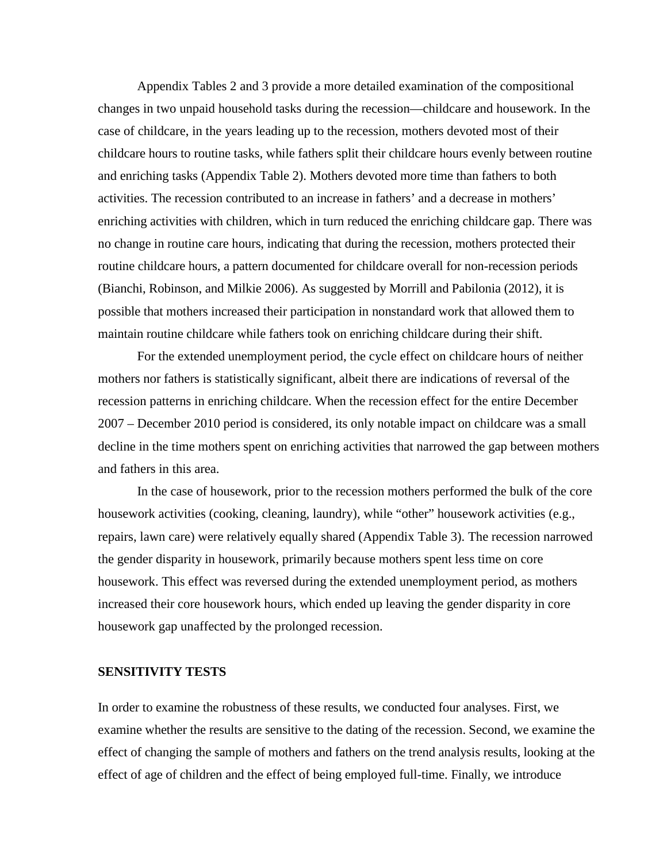Appendix Tables 2 and 3 provide a more detailed examination of the compositional changes in two unpaid household tasks during the recession—childcare and housework. In the case of childcare, in the years leading up to the recession, mothers devoted most of their childcare hours to routine tasks, while fathers split their childcare hours evenly between routine and enriching tasks (Appendix Table 2). Mothers devoted more time than fathers to both activities. The recession contributed to an increase in fathers' and a decrease in mothers' enriching activities with children, which in turn reduced the enriching childcare gap. There was no change in routine care hours, indicating that during the recession, mothers protected their routine childcare hours, a pattern documented for childcare overall for non-recession periods (Bianchi, Robinson, and Milkie 2006). As suggested by Morrill and Pabilonia (2012), it is possible that mothers increased their participation in nonstandard work that allowed them to maintain routine childcare while fathers took on enriching childcare during their shift.

For the extended unemployment period, the cycle effect on childcare hours of neither mothers nor fathers is statistically significant, albeit there are indications of reversal of the recession patterns in enriching childcare. When the recession effect for the entire December 2007 – December 2010 period is considered, its only notable impact on childcare was a small decline in the time mothers spent on enriching activities that narrowed the gap between mothers and fathers in this area.

In the case of housework, prior to the recession mothers performed the bulk of the core housework activities (cooking, cleaning, laundry), while "other" housework activities (e.g., repairs, lawn care) were relatively equally shared (Appendix Table 3). The recession narrowed the gender disparity in housework, primarily because mothers spent less time on core housework. This effect was reversed during the extended unemployment period, as mothers increased their core housework hours, which ended up leaving the gender disparity in core housework gap unaffected by the prolonged recession.

## **SENSITIVITY TESTS**

In order to examine the robustness of these results, we conducted four analyses. First, we examine whether the results are sensitive to the dating of the recession. Second, we examine the effect of changing the sample of mothers and fathers on the trend analysis results, looking at the effect of age of children and the effect of being employed full-time. Finally, we introduce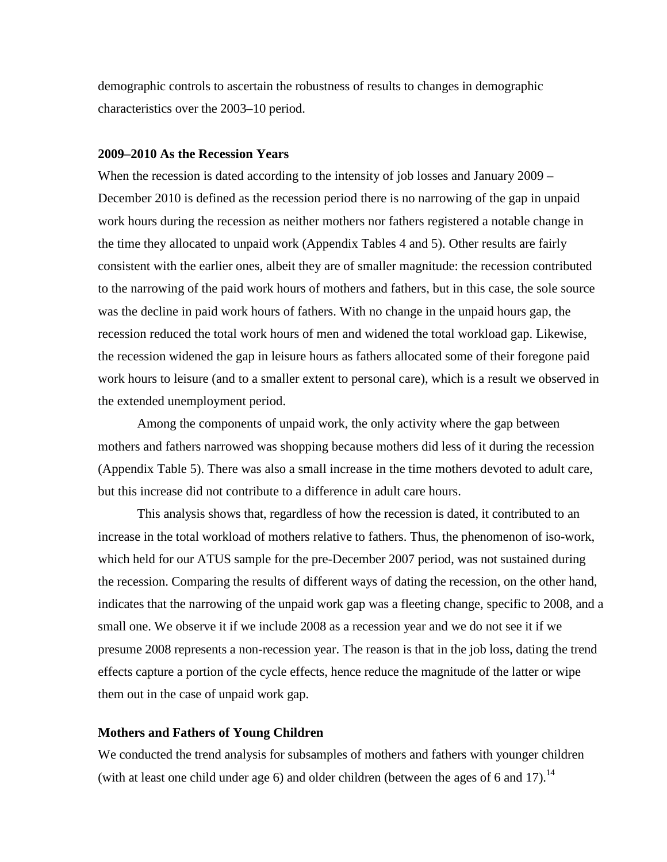demographic controls to ascertain the robustness of results to changes in demographic characteristics over the 2003–10 period.

### **2009–2010 As the Recession Years**

When the recession is dated according to the intensity of job losses and January 2009 – December 2010 is defined as the recession period there is no narrowing of the gap in unpaid work hours during the recession as neither mothers nor fathers registered a notable change in the time they allocated to unpaid work (Appendix Tables 4 and 5). Other results are fairly consistent with the earlier ones, albeit they are of smaller magnitude: the recession contributed to the narrowing of the paid work hours of mothers and fathers, but in this case, the sole source was the decline in paid work hours of fathers. With no change in the unpaid hours gap, the recession reduced the total work hours of men and widened the total workload gap. Likewise, the recession widened the gap in leisure hours as fathers allocated some of their foregone paid work hours to leisure (and to a smaller extent to personal care), which is a result we observed in the extended unemployment period.

Among the components of unpaid work, the only activity where the gap between mothers and fathers narrowed was shopping because mothers did less of it during the recession (Appendix Table 5). There was also a small increase in the time mothers devoted to adult care, but this increase did not contribute to a difference in adult care hours.

This analysis shows that, regardless of how the recession is dated, it contributed to an increase in the total workload of mothers relative to fathers. Thus, the phenomenon of iso-work, which held for our ATUS sample for the pre-December 2007 period, was not sustained during the recession. Comparing the results of different ways of dating the recession, on the other hand, indicates that the narrowing of the unpaid work gap was a fleeting change, specific to 2008, and a small one. We observe it if we include 2008 as a recession year and we do not see it if we presume 2008 represents a non-recession year. The reason is that in the job loss, dating the trend effects capture a portion of the cycle effects, hence reduce the magnitude of the latter or wipe them out in the case of unpaid work gap.

### **Mothers and Fathers of Young Children**

We conducted the trend analysis for subsamples of mothers and fathers with younger children (with at least one child under age 6) and older children (between the ages of 6 and 17).<sup>14</sup>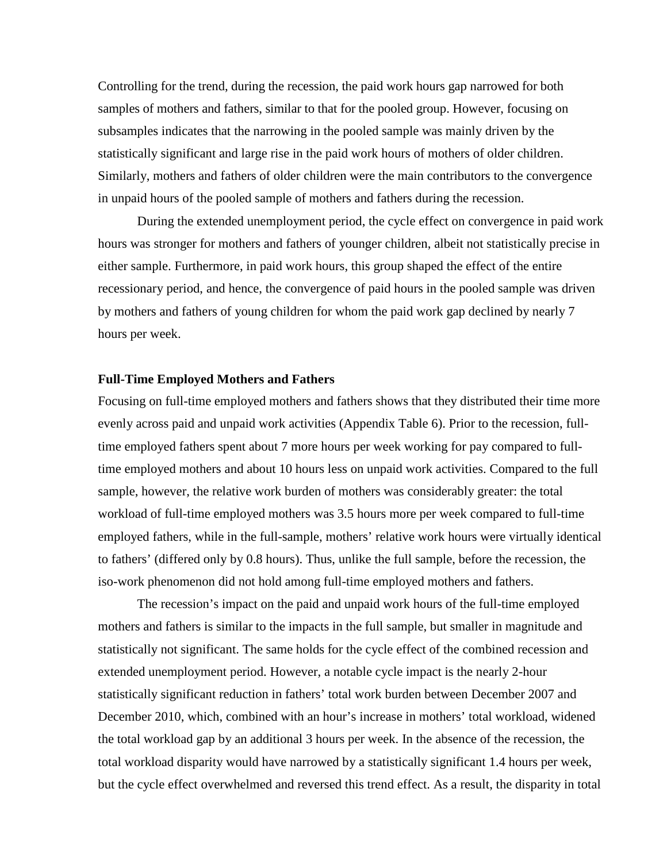Controlling for the trend, during the recession, the paid work hours gap narrowed for both samples of mothers and fathers, similar to that for the pooled group. However, focusing on subsamples indicates that the narrowing in the pooled sample was mainly driven by the statistically significant and large rise in the paid work hours of mothers of older children. Similarly, mothers and fathers of older children were the main contributors to the convergence in unpaid hours of the pooled sample of mothers and fathers during the recession.

During the extended unemployment period, the cycle effect on convergence in paid work hours was stronger for mothers and fathers of younger children, albeit not statistically precise in either sample. Furthermore, in paid work hours, this group shaped the effect of the entire recessionary period, and hence, the convergence of paid hours in the pooled sample was driven by mothers and fathers of young children for whom the paid work gap declined by nearly 7 hours per week.

### **Full-Time Employed Mothers and Fathers**

Focusing on full-time employed mothers and fathers shows that they distributed their time more evenly across paid and unpaid work activities (Appendix Table 6). Prior to the recession, fulltime employed fathers spent about 7 more hours per week working for pay compared to fulltime employed mothers and about 10 hours less on unpaid work activities. Compared to the full sample, however, the relative work burden of mothers was considerably greater: the total workload of full-time employed mothers was 3.5 hours more per week compared to full-time employed fathers, while in the full-sample, mothers' relative work hours were virtually identical to fathers' (differed only by 0.8 hours). Thus, unlike the full sample, before the recession, the iso-work phenomenon did not hold among full-time employed mothers and fathers.

The recession's impact on the paid and unpaid work hours of the full-time employed mothers and fathers is similar to the impacts in the full sample, but smaller in magnitude and statistically not significant. The same holds for the cycle effect of the combined recession and extended unemployment period. However, a notable cycle impact is the nearly 2-hour statistically significant reduction in fathers' total work burden between December 2007 and December 2010, which, combined with an hour's increase in mothers' total workload, widened the total workload gap by an additional 3 hours per week. In the absence of the recession, the total workload disparity would have narrowed by a statistically significant 1.4 hours per week, but the cycle effect overwhelmed and reversed this trend effect. As a result, the disparity in total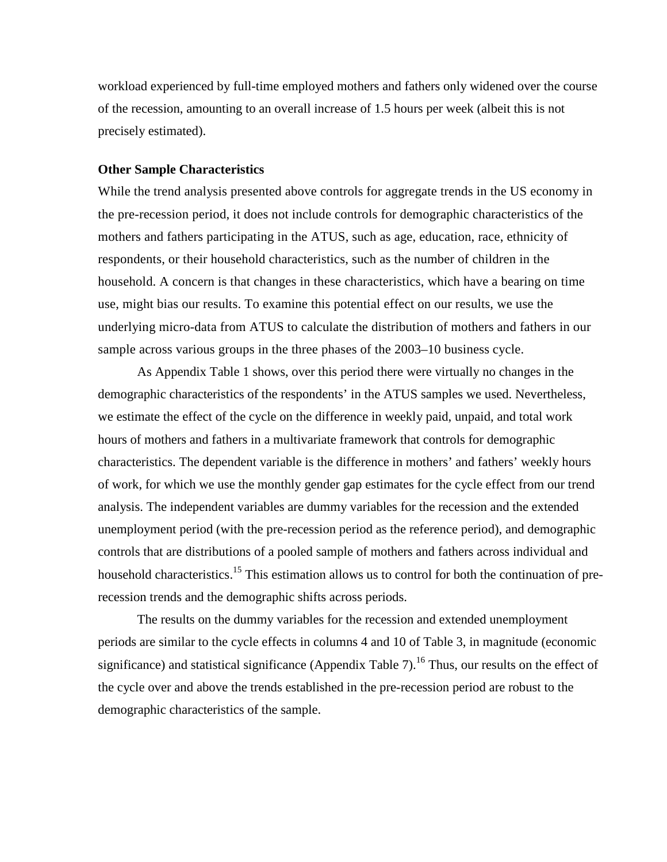workload experienced by full-time employed mothers and fathers only widened over the course of the recession, amounting to an overall increase of 1.5 hours per week (albeit this is not precisely estimated).

### **Other Sample Characteristics**

While the trend analysis presented above controls for aggregate trends in the US economy in the pre-recession period, it does not include controls for demographic characteristics of the mothers and fathers participating in the ATUS, such as age, education, race, ethnicity of respondents, or their household characteristics, such as the number of children in the household. A concern is that changes in these characteristics, which have a bearing on time use, might bias our results. To examine this potential effect on our results, we use the underlying micro-data from ATUS to calculate the distribution of mothers and fathers in our sample across various groups in the three phases of the 2003–10 business cycle.

As Appendix Table 1 shows, over this period there were virtually no changes in the demographic characteristics of the respondents' in the ATUS samples we used. Nevertheless, we estimate the effect of the cycle on the difference in weekly paid, unpaid, and total work hours of mothers and fathers in a multivariate framework that controls for demographic characteristics. The dependent variable is the difference in mothers' and fathers' weekly hours of work, for which we use the monthly gender gap estimates for the cycle effect from our trend analysis. The independent variables are dummy variables for the recession and the extended unemployment period (with the pre-recession period as the reference period), and demographic controls that are distributions of a pooled sample of mothers and fathers across individual and household characteristics.<sup>15</sup> This estimation allows us to control for both the continuation of prerecession trends and the demographic shifts across periods.

The results on the dummy variables for the recession and extended unemployment periods are similar to the cycle effects in columns 4 and 10 of Table 3, in magnitude (economic significance) and statistical significance (Appendix Table 7).<sup>16</sup> Thus, our results on the effect of the cycle over and above the trends established in the pre-recession period are robust to the demographic characteristics of the sample.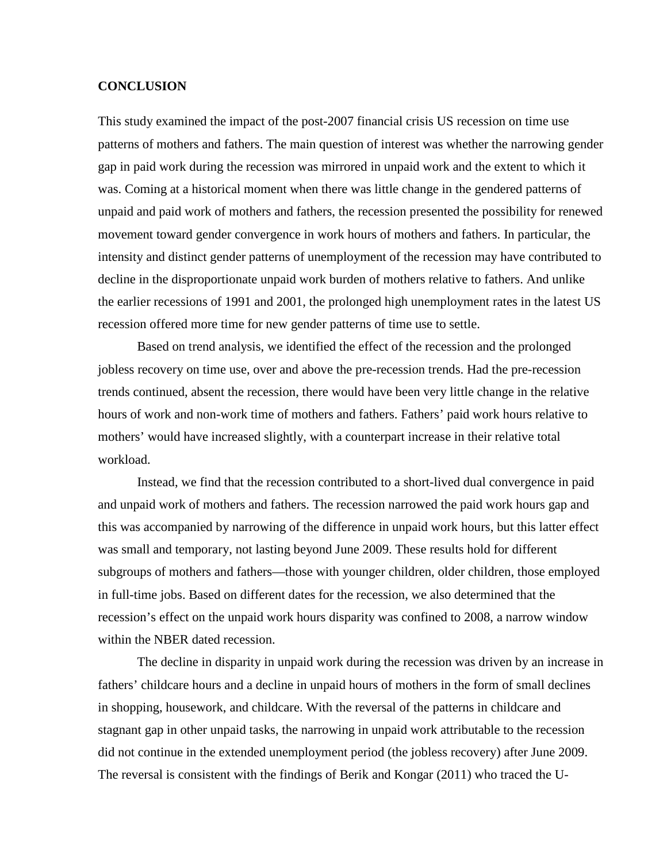### **CONCLUSION**

This study examined the impact of the post-2007 financial crisis US recession on time use patterns of mothers and fathers. The main question of interest was whether the narrowing gender gap in paid work during the recession was mirrored in unpaid work and the extent to which it was. Coming at a historical moment when there was little change in the gendered patterns of unpaid and paid work of mothers and fathers, the recession presented the possibility for renewed movement toward gender convergence in work hours of mothers and fathers. In particular, the intensity and distinct gender patterns of unemployment of the recession may have contributed to decline in the disproportionate unpaid work burden of mothers relative to fathers. And unlike the earlier recessions of 1991 and 2001, the prolonged high unemployment rates in the latest US recession offered more time for new gender patterns of time use to settle.

Based on trend analysis, we identified the effect of the recession and the prolonged jobless recovery on time use, over and above the pre-recession trends. Had the pre-recession trends continued, absent the recession, there would have been very little change in the relative hours of work and non-work time of mothers and fathers. Fathers' paid work hours relative to mothers' would have increased slightly, with a counterpart increase in their relative total workload.

Instead, we find that the recession contributed to a short-lived dual convergence in paid and unpaid work of mothers and fathers. The recession narrowed the paid work hours gap and this was accompanied by narrowing of the difference in unpaid work hours, but this latter effect was small and temporary, not lasting beyond June 2009. These results hold for different subgroups of mothers and fathers—those with younger children, older children, those employed in full-time jobs. Based on different dates for the recession, we also determined that the recession's effect on the unpaid work hours disparity was confined to 2008, a narrow window within the NBER dated recession.

The decline in disparity in unpaid work during the recession was driven by an increase in fathers' childcare hours and a decline in unpaid hours of mothers in the form of small declines in shopping, housework, and childcare. With the reversal of the patterns in childcare and stagnant gap in other unpaid tasks, the narrowing in unpaid work attributable to the recession did not continue in the extended unemployment period (the jobless recovery) after June 2009. The reversal is consistent with the findings of Berik and Kongar (2011) who traced the U-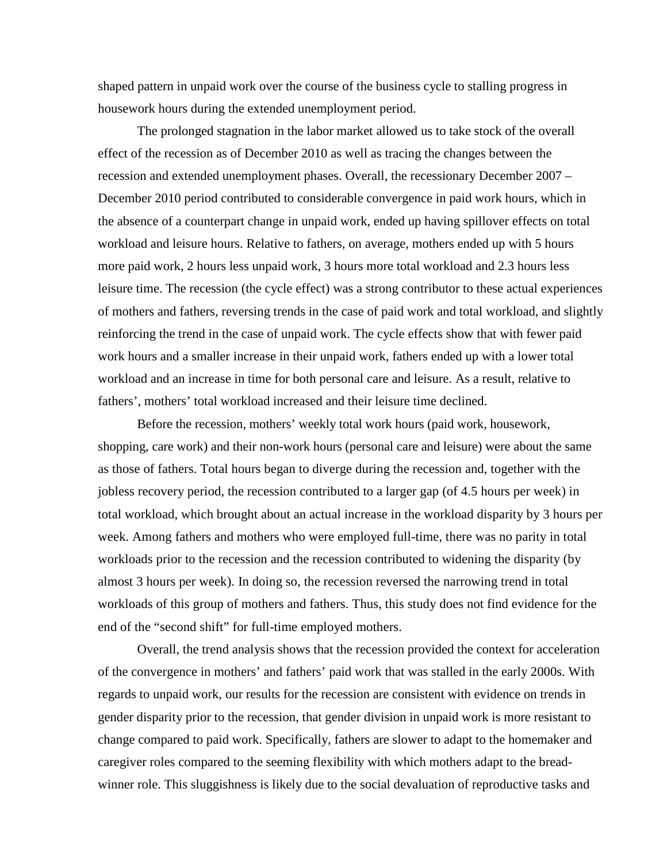shaped pattern in unpaid work over the course of the business cycle to stalling progress in housework hours during the extended unemployment period.

The prolonged stagnation in the labor market allowed us to take stock of the overall effect of the recession as of December 2010 as well as tracing the changes between the recession and extended unemployment phases. Overall, the recessionary December 2007 – December 2010 period contributed to considerable convergence in paid work hours, which in the absence of a counterpart change in unpaid work, ended up having spillover effects on total workload and leisure hours. Relative to fathers, on average, mothers ended up with 5 hours more paid work, 2 hours less unpaid work, 3 hours more total workload and 2.3 hours less leisure time. The recession (the cycle effect) was a strong contributor to these actual experiences of mothers and fathers, reversing trends in the case of paid work and total workload, and slightly reinforcing the trend in the case of unpaid work. The cycle effects show that with fewer paid work hours and a smaller increase in their unpaid work, fathers ended up with a lower total workload and an increase in time for both personal care and leisure. As a result, relative to fathers', mothers' total workload increased and their leisure time declined.

Before the recession, mothers' weekly total work hours (paid work, housework, shopping, care work) and their non-work hours (personal care and leisure) were about the same as those of fathers. Total hours began to diverge during the recession and, together with the jobless recovery period, the recession contributed to a larger gap (of 4.5 hours per week) in total workload, which brought about an actual increase in the workload disparity by 3 hours per week. Among fathers and mothers who were employed full-time, there was no parity in total workloads prior to the recession and the recession contributed to widening the disparity (by almost 3 hours per week). In doing so, the recession reversed the narrowing trend in total workloads of this group of mothers and fathers. Thus, this study does not find evidence for the end of the "second shift" for full-time employed mothers.

Overall, the trend analysis shows that the recession provided the context for acceleration of the convergence in mothers' and fathers' paid work that was stalled in the early 2000s. With regards to unpaid work, our results for the recession are consistent with evidence on trends in gender disparity prior to the recession, that gender division in unpaid work is more resistant to change compared to paid work. Specifically, fathers are slower to adapt to the homemaker and caregiver roles compared to the seeming flexibility with which mothers adapt to the breadwinner role. This sluggishness is likely due to the social devaluation of reproductive tasks and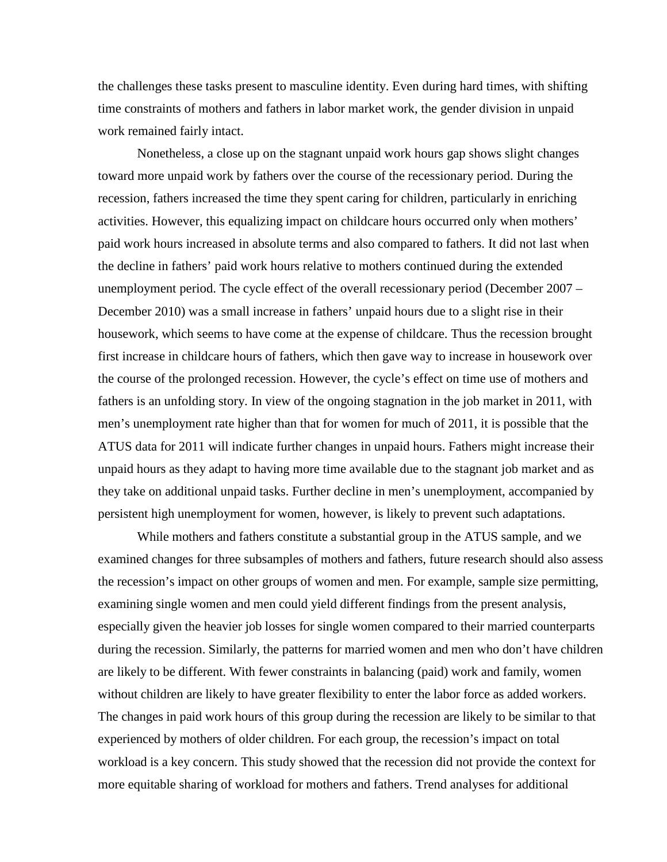the challenges these tasks present to masculine identity. Even during hard times, with shifting time constraints of mothers and fathers in labor market work, the gender division in unpaid work remained fairly intact.

Nonetheless, a close up on the stagnant unpaid work hours gap shows slight changes toward more unpaid work by fathers over the course of the recessionary period. During the recession, fathers increased the time they spent caring for children, particularly in enriching activities. However, this equalizing impact on childcare hours occurred only when mothers' paid work hours increased in absolute terms and also compared to fathers. It did not last when the decline in fathers' paid work hours relative to mothers continued during the extended unemployment period. The cycle effect of the overall recessionary period (December 2007 – December 2010) was a small increase in fathers' unpaid hours due to a slight rise in their housework, which seems to have come at the expense of childcare. Thus the recession brought first increase in childcare hours of fathers, which then gave way to increase in housework over the course of the prolonged recession. However, the cycle's effect on time use of mothers and fathers is an unfolding story. In view of the ongoing stagnation in the job market in 2011, with men's unemployment rate higher than that for women for much of 2011, it is possible that the ATUS data for 2011 will indicate further changes in unpaid hours. Fathers might increase their unpaid hours as they adapt to having more time available due to the stagnant job market and as they take on additional unpaid tasks. Further decline in men's unemployment, accompanied by persistent high unemployment for women, however, is likely to prevent such adaptations.

While mothers and fathers constitute a substantial group in the ATUS sample, and we examined changes for three subsamples of mothers and fathers, future research should also assess the recession's impact on other groups of women and men. For example, sample size permitting, examining single women and men could yield different findings from the present analysis, especially given the heavier job losses for single women compared to their married counterparts during the recession. Similarly, the patterns for married women and men who don't have children are likely to be different. With fewer constraints in balancing (paid) work and family, women without children are likely to have greater flexibility to enter the labor force as added workers. The changes in paid work hours of this group during the recession are likely to be similar to that experienced by mothers of older children. For each group, the recession's impact on total workload is a key concern. This study showed that the recession did not provide the context for more equitable sharing of workload for mothers and fathers. Trend analyses for additional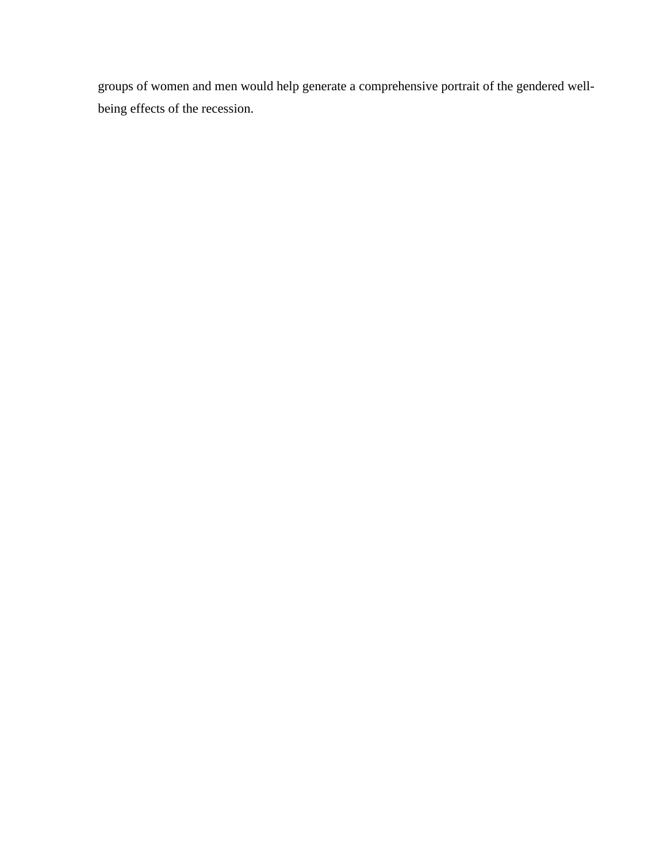groups of women and men would help generate a comprehensive portrait of the gendered wellbeing effects of the recession.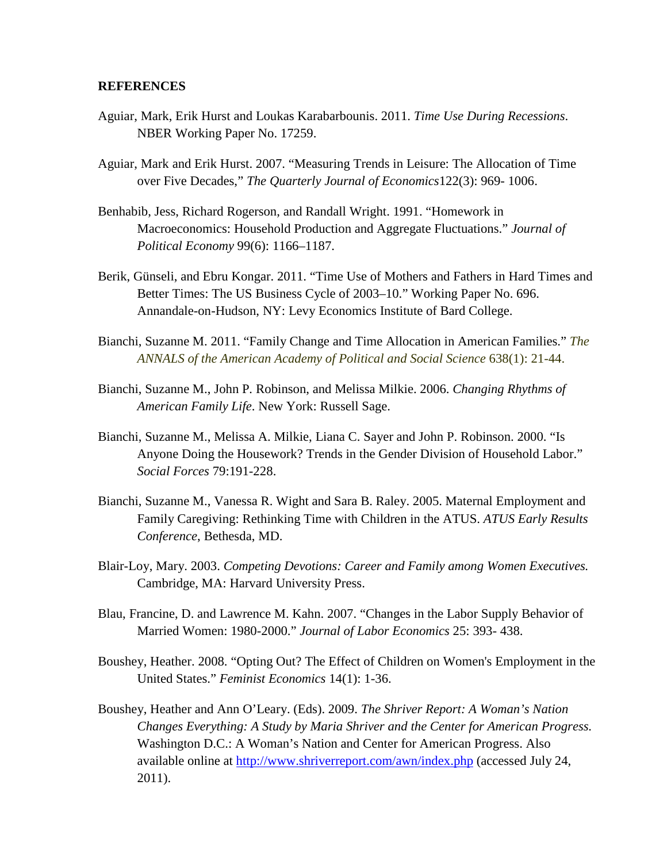### **REFERENCES**

- Aguiar, Mark, Erik Hurst and Loukas Karabarbounis. 2011. *Time Use During Recessions*. NBER Working Paper No. 17259.
- Aguiar, Mark and Erik Hurst. 2007. "Measuring Trends in Leisure: The Allocation of Time over Five Decades," *The Quarterly Journal of Economics*122(3): 969- 1006.
- Benhabib, Jess, Richard Rogerson, and Randall Wright. 1991. "Homework in Macroeconomics: Household Production and Aggregate Fluctuations." *Journal of Political Economy* 99(6): 1166–1187.
- Berik, Günseli, and Ebru Kongar. 2011. "Time Use of Mothers and Fathers in Hard Times and Better Times: The US Business Cycle of 2003–10." Working Paper No. 696. Annandale-on-Hudson, NY: Levy Economics Institute of Bard College.
- Bianchi, Suzanne M. 2011. "Family Change and Time Allocation in American Families." *The ANNALS of the American Academy of Political and Social Science* 638(1): 21-44.
- Bianchi, Suzanne M., John P*.* Robinson, and Melissa Milkie. 2006. *Changing Rhythms of American Family Life*. New York: Russell Sage.
- Bianchi, Suzanne M., Melissa A. Milkie, Liana C. Sayer and John P. Robinson. 2000. "Is Anyone Doing the Housework? Trends in the Gender Division of Household Labor." *Social Forces* 79:191-228.
- Bianchi, Suzanne M., Vanessa R. Wight and Sara B. Raley. 2005. Maternal Employment and Family Caregiving: Rethinking Time with Children in the ATUS. *ATUS Early Results Conference*, Bethesda, MD.
- Blair-Loy, Mary. 2003. *Competing Devotions: Career and Family among Women Executives.* Cambridge, MA: Harvard University Press.
- Blau, Francine, D. and Lawrence M. Kahn. 2007. "Changes in the Labor Supply Behavior of Married Women: 1980-2000." *Journal of Labor Economics* 25: 393- 438.
- Boushey, Heather. 2008. "Opting Out? The Effect of Children on Women's Employment in the United States." *Feminist Economics* 14(1): 1-36.
- Boushey, Heather and Ann O'Leary. (Eds). 2009. *The Shriver Report: A Woman's Nation Changes Everything: A Study by Maria Shriver and the Center for American Progress.* Washington D.C.: A Woman's Nation and Center for American Progress. Also available online at <http://www.shriverreport.com/awn/index.php> (accessed July 24, 2011).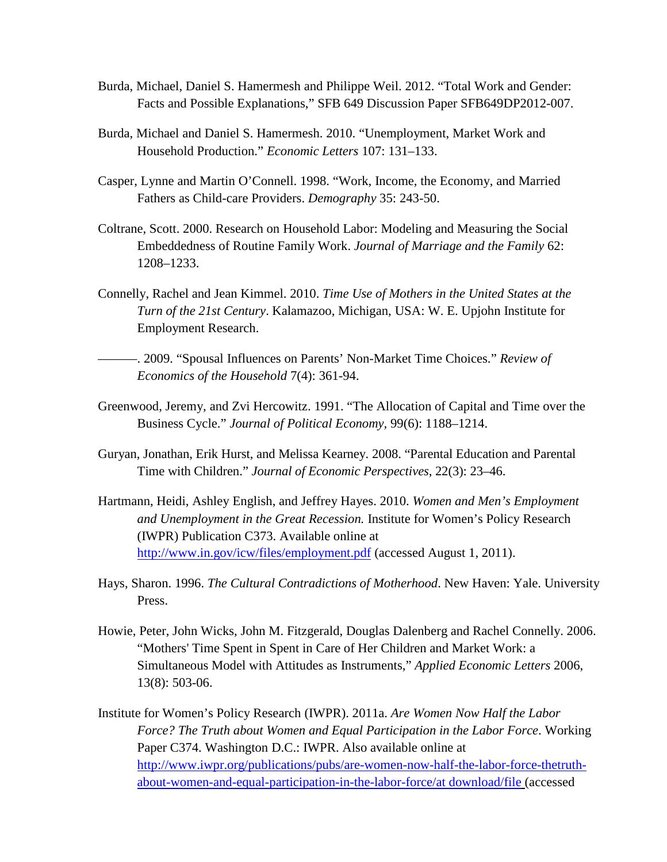- Burda, Michael, Daniel S. Hamermesh and Philippe Weil. 2012. "Total Work and Gender: Facts and Possible Explanations," SFB 649 Discussion Paper SFB649DP2012-007.
- Burda, Michael and Daniel S. Hamermesh. 2010. "Unemployment, Market Work and Household Production." *Economic Letters* 107: 131–133.
- Casper, Lynne and Martin O'Connell. 1998. "Work, Income, the Economy, and Married Fathers as Child-care Providers. *Demography* 35: 243-50.
- Coltrane, Scott. 2000. Research on Household Labor: Modeling and Measuring the Social Embeddedness of Routine Family Work. *Journal of Marriage and the Family* 62: 1208–1233.
- Connelly, Rachel and Jean Kimmel. 2010. *Time Use of Mothers in the United States at the Turn of the 21st Century*. Kalamazoo, Michigan, USA: W. E. Upjohn Institute for Employment Research.
- ———. 2009. "Spousal Influences on Parents' Non-Market Time Choices." *Review of Economics of the Household* 7(4): 361-94.
- Greenwood, Jeremy, and Zvi Hercowitz. 1991. "The Allocation of Capital and Time over the Business Cycle." *Journal of Political Economy,* 99(6): 1188–1214.
- Guryan, Jonathan, Erik Hurst, and Melissa Kearney. 2008. "Parental Education and Parental Time with Children." *Journal of Economic Perspectives*, 22(3): 23–46.
- Hartmann, Heidi, Ashley English, and Jeffrey Hayes. 2010. *Women and Men's Employment and Unemployment in the Great Recession.* Institute for Women's Policy Research (IWPR) Publication C373. Available online at <http://www.in.gov/icw/files/employment.pdf> (accessed August 1, 2011).
- Hays, Sharon. 1996. *The Cultural Contradictions of Motherhood*. New Haven: Yale. University Press.
- Howie, Peter, John Wicks, John M. Fitzgerald, Douglas Dalenberg and Rachel Connelly. 2006. "Mothers' Time Spent in Spent in Care of Her Children and Market Work: a Simultaneous Model with Attitudes as Instruments," *Applied Economic Letters* 2006, 13(8): 503-06.
- Institute for Women's Policy Research (IWPR). 2011a. *Are Women Now Half the Labor Force? The Truth about Women and Equal Participation in the Labor Force*. Working Paper C374. Washington D.C.: IWPR. Also available online at [http://www.iwpr.org/publications/pubs/are-women-now-half-the-labor-force-thetruth](http://www.iwpr.org/publications/pubs/are-women-now-half-the-labor-force-the-truth-about-women-and-equal-participation-in-the-labor-force/at)[about-women-and-equal-participation-in-the-labor-force/at download/file](http://www.iwpr.org/publications/pubs/are-women-now-half-the-labor-force-the-truth-about-women-and-equal-participation-in-the-labor-force/at) (accessed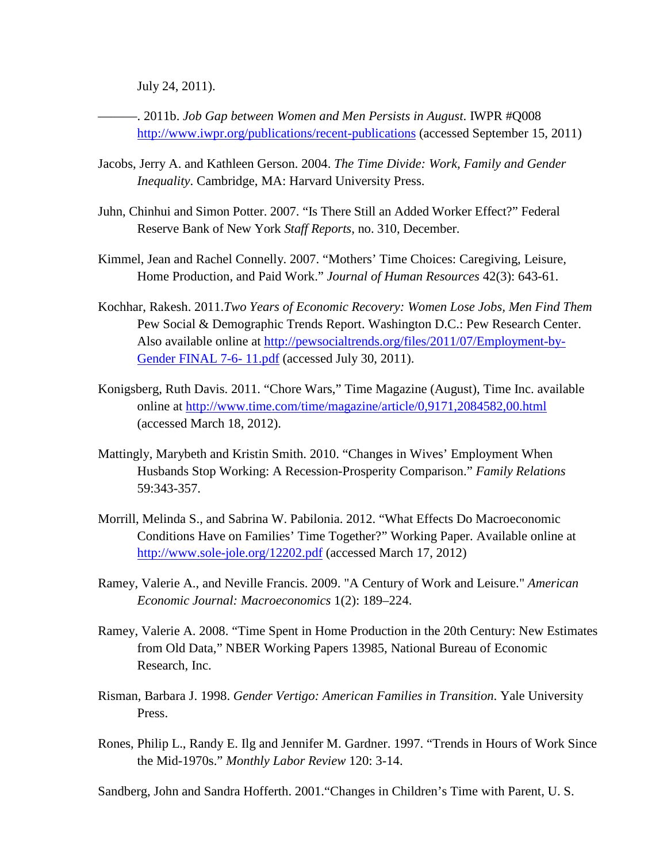July 24, 2011).

———. 2011b. *Job Gap between Women and Men Persists in August*. IWPR #Q008 <http://www.iwpr.org/publications/recent-publications> (accessed September 15, 2011)

- Jacobs, Jerry A. and Kathleen Gerson. 2004. *The Time Divide: Work, Family and Gender Inequality*. Cambridge, MA: Harvard University Press.
- Juhn, Chinhui and Simon Potter. 2007. "Is There Still an Added Worker Effect?" Federal Reserve Bank of New York *Staff Reports*, no. 310, December.
- Kimmel, Jean and Rachel Connelly. 2007. "Mothers' Time Choices: Caregiving, Leisure, Home Production, and Paid Work." *Journal of Human Resources* 42(3): 643-61.
- Kochhar, Rakesh. 2011.*Two Years of Economic Recovery: Women Lose Jobs, Men Find Them* Pew Social & Demographic Trends Report. Washington D.C.: Pew Research Center. Also available online at [http://pewsocialtrends.org/files/2011/07/Employment-by-](http://pewsocialtrends.org/files/2011/07/Employment-by-Gender)[Gender](http://pewsocialtrends.org/files/2011/07/Employment-by-Gender) FINAL 7-6- 11.pdf (accessed July 30, 2011).
- Konigsberg, Ruth Davis. 2011. "Chore Wars," Time Magazine (August), Time Inc. available online at http://www.time.com/time/magazine/article/0,9171,2084582,00.html (accessed March 18, 2012).
- Mattingly, Marybeth and Kristin Smith. 2010. "Changes in Wives' Employment When Husbands Stop Working: A Recession-Prosperity Comparison." *Family Relations* 59:343-357.
- Morrill, Melinda S., and Sabrina W. Pabilonia. 2012. "What Effects Do Macroeconomic Conditions Have on Families' Time Together?" Working Paper. Available online at <http://www.sole-jole.org/12202.pdf> (accessed March 17, 2012)
- Ramey, Valerie A., and Neville Francis. 2009. "A Century of Work and Leisure." *American Economic Journal: Macroeconomics* 1(2): 189–224.
- Ramey, Valerie A. 2008. "Time Spent in Home Production in the 20th Century: New Estimates from Old Data," NBER Working Papers 13985, National Bureau of Economic Research, Inc.
- Risman, Barbara J. 1998. *Gender Vertigo: American Families in Transition*. Yale University Press.
- Rones, Philip L., Randy E. Ilg and Jennifer M. Gardner. 1997. "Trends in Hours of Work Since the Mid-1970s." *Monthly Labor Review* 120: 3-14.

Sandberg, John and Sandra Hofferth. 2001."Changes in Children's Time with Parent, U. S.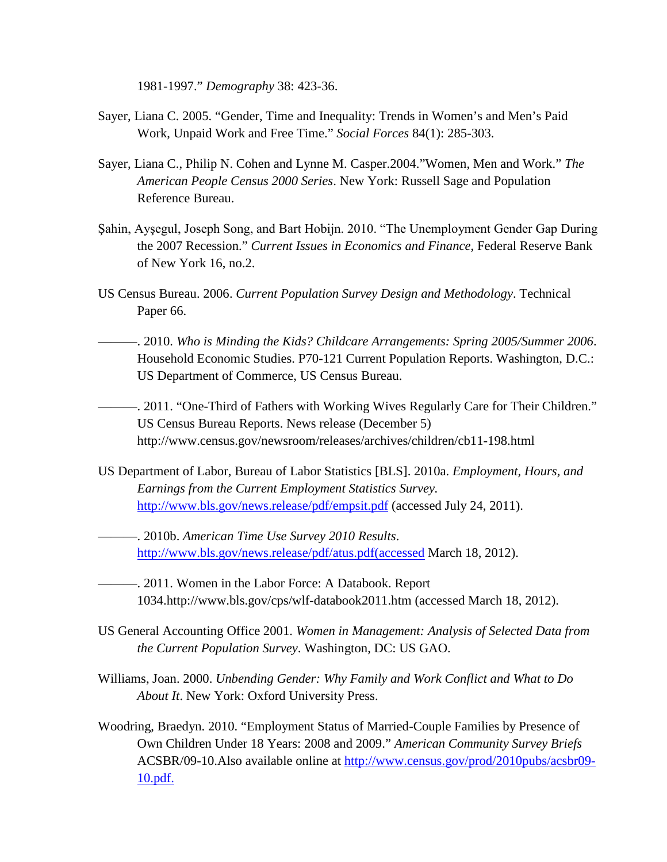1981-1997." *Demography* 38: 423-36.

- Sayer, Liana C. 2005. "Gender, Time and Inequality: Trends in Women's and Men's Paid Work, Unpaid Work and Free Time." *Social Forces* 84(1): 285-303.
- Sayer, Liana C., Philip N. Cohen and Lynne M. Casper.2004."Women, Men and Work." *The American People Census 2000 Series*. New York: Russell Sage and Population Reference Bureau.
- Şahin, Ayşegul, Joseph Song, and Bart Hobijn. 2010. "The Unemployment Gender Gap During the 2007 Recession." *Current Issues in Economics and Finance*, Federal Reserve Bank of New York 16, no.2.
- US Census Bureau. 2006. *Current Population Survey Design and Methodology*. Technical Paper 66.
- ———. 2010. *Who is Minding the Kids? Childcare Arrangements: Spring 2005/Summer 2006*. Household Economic Studies. P70-121 Current Population Reports. Washington, D.C.: US Department of Commerce, US Census Bureau.
- ———. 2011. "One-Third of Fathers with Working Wives Regularly Care for Their Children." US Census Bureau Reports. News release (December 5) http://www.census.gov/newsroom/releases/archives/children/cb11-198.html
- US Department of Labor, Bureau of Labor Statistics [BLS]. 2010a. *Employment, Hours, and Earnings from the Current Employment Statistics Survey.* <http://www.bls.gov/news.release/pdf/empsit.pdf> (accessed July 24, 2011).
- ———. 2010b. *American Time Use Survey 2010 Results*. [http://www.bls.gov/news.release/pdf/atus.pdf\(accessed](http://www.bls.gov/news.release/pdf/atus.pdf(accessed) March 18, 2012).
- ———. 2011. Women in the Labor Force: A Databook. Report 1034.http://www.bls.gov/cps/wlf-databook2011.htm (accessed March 18, 2012).
- US General Accounting Office 2001. *Women in Management: Analysis of Selected Data from the Current Population Survey*. Washington, DC: US GAO.
- Williams, Joan. 2000. *Unbending Gender: Why Family and Work Conflict and What to Do About It*. New York: Oxford University Press.
- Woodring, Braedyn. 2010. "Employment Status of Married-Couple Families by Presence of Own Children Under 18 Years: 2008 and 2009." *American Community Survey Briefs* ACSBR/09-10.Also available online at [http://www.census.gov/prod/2010pubs/acsbr09-](http://www.census.gov/prod/2010pubs/acsbr09-10.pdf.) [10.pdf.](http://www.census.gov/prod/2010pubs/acsbr09-10.pdf.)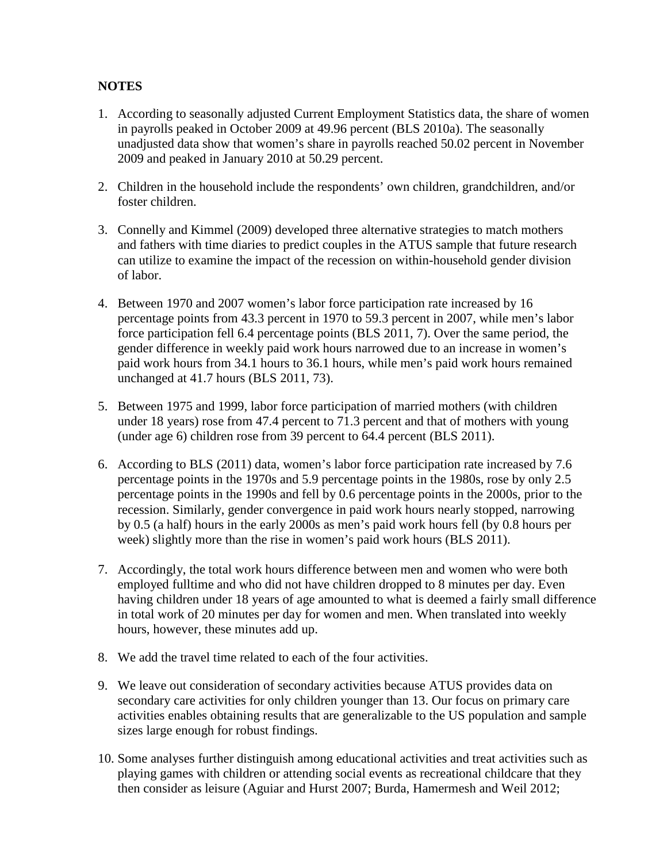# **NOTES**

- 1. According to seasonally adjusted Current Employment Statistics data, the share of women in payrolls peaked in October 2009 at 49.96 percent (BLS 2010a). The seasonally unadjusted data show that women's share in payrolls reached 50.02 percent in November 2009 and peaked in January 2010 at 50.29 percent.
- 2. Children in the household include the respondents' own children, grandchildren, and/or foster children.
- 3. Connelly and Kimmel (2009) developed three alternative strategies to match mothers and fathers with time diaries to predict couples in the ATUS sample that future research can utilize to examine the impact of the recession on within-household gender division of labor.
- 4. Between 1970 and 2007 women's labor force participation rate increased by 16 percentage points from 43.3 percent in 1970 to 59.3 percent in 2007, while men's labor force participation fell 6.4 percentage points (BLS 2011, 7). Over the same period, the gender difference in weekly paid work hours narrowed due to an increase in women's paid work hours from 34.1 hours to 36.1 hours, while men's paid work hours remained unchanged at 41.7 hours (BLS 2011, 73).
- 5. Between 1975 and 1999, labor force participation of married mothers (with children under 18 years) rose from 47.4 percent to 71.3 percent and that of mothers with young (under age 6) children rose from 39 percent to 64.4 percent (BLS 2011).
- 6. According to BLS (2011) data, women's labor force participation rate increased by 7.6 percentage points in the 1970s and 5.9 percentage points in the 1980s, rose by only 2.5 percentage points in the 1990s and fell by 0.6 percentage points in the 2000s, prior to the recession. Similarly, gender convergence in paid work hours nearly stopped, narrowing by 0.5 (a half) hours in the early 2000s as men's paid work hours fell (by 0.8 hours per week) slightly more than the rise in women's paid work hours (BLS 2011).
- 7. Accordingly, the total work hours difference between men and women who were both employed fulltime and who did not have children dropped to 8 minutes per day. Even having children under 18 years of age amounted to what is deemed a fairly small difference in total work of 20 minutes per day for women and men. When translated into weekly hours, however, these minutes add up.
- 8. We add the travel time related to each of the four activities.
- 9. We leave out consideration of secondary activities because ATUS provides data on secondary care activities for only children younger than 13. Our focus on primary care activities enables obtaining results that are generalizable to the US population and sample sizes large enough for robust findings.
- 10. Some analyses further distinguish among educational activities and treat activities such as playing games with children or attending social events as recreational childcare that they then consider as leisure (Aguiar and Hurst 2007; Burda, Hamermesh and Weil 2012;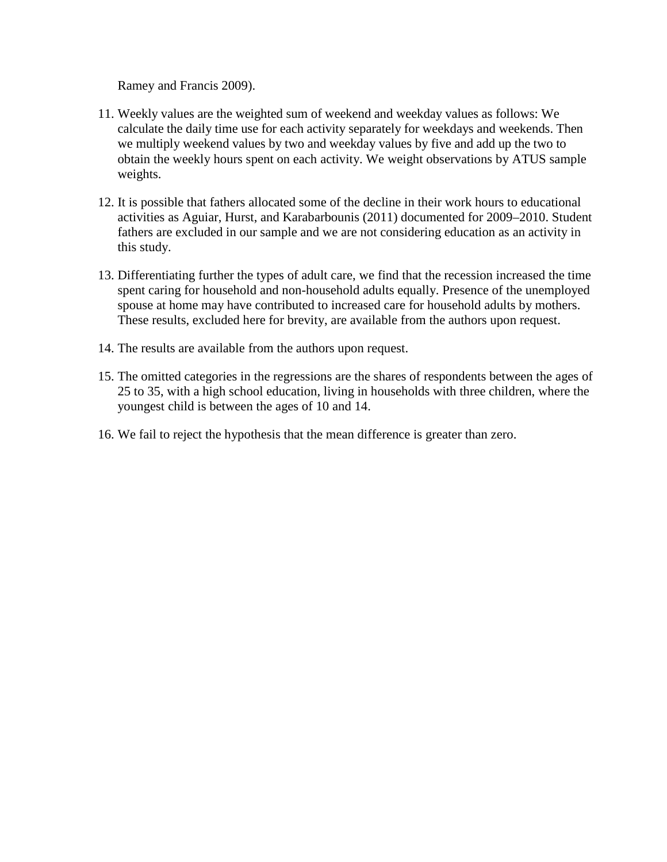Ramey and Francis 2009).

- 11. Weekly values are the weighted sum of weekend and weekday values as follows: We calculate the daily time use for each activity separately for weekdays and weekends. Then we multiply weekend values by two and weekday values by five and add up the two to obtain the weekly hours spent on each activity. We weight observations by ATUS sample weights.
- 12. It is possible that fathers allocated some of the decline in their work hours to educational activities as Aguiar, Hurst, and Karabarbounis (2011) documented for 2009–2010. Student fathers are excluded in our sample and we are not considering education as an activity in this study.
- 13. Differentiating further the types of adult care, we find that the recession increased the time spent caring for household and non-household adults equally. Presence of the unemployed spouse at home may have contributed to increased care for household adults by mothers. These results, excluded here for brevity, are available from the authors upon request.
- 14. The results are available from the authors upon request.
- 15. The omitted categories in the regressions are the shares of respondents between the ages of 25 to 35, with a high school education, living in households with three children, where the youngest child is between the ages of 10 and 14.
- 16. We fail to reject the hypothesis that the mean difference is greater than zero.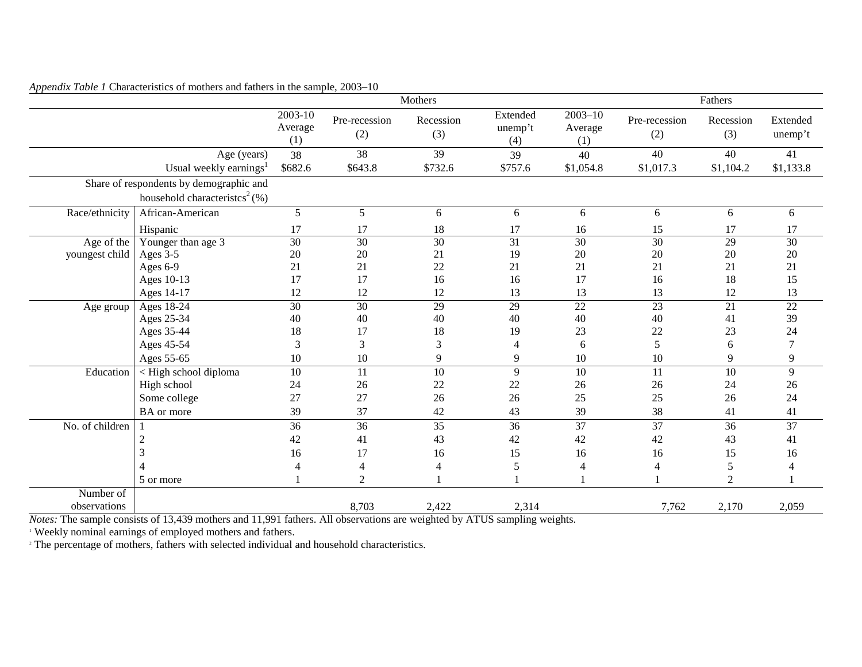|                 |                                              |                               |                      | Mothers          |                            |                               |                      | Fathers          |                     |
|-----------------|----------------------------------------------|-------------------------------|----------------------|------------------|----------------------------|-------------------------------|----------------------|------------------|---------------------|
|                 |                                              | $2003 - 10$<br>Average<br>(1) | Pre-recession<br>(2) | Recession<br>(3) | Extended<br>unemp't<br>(4) | $2003 - 10$<br>Average<br>(1) | Pre-recession<br>(2) | Recession<br>(3) | Extended<br>unemp't |
|                 | Age (years)                                  | 38                            | $\overline{38}$      | $\overline{39}$  | 39                         | 40                            | 40                   | 40               | 41                  |
|                 | Usual weekly earnings <sup>1</sup>           | \$682.6                       | \$643.8              | \$732.6          | \$757.6                    | \$1,054.8                     | \$1,017.3            | \$1,104.2        | \$1,133.8           |
|                 | Share of respondents by demographic and      |                               |                      |                  |                            |                               |                      |                  |                     |
|                 | household characteristics <sup>2</sup> $(%)$ |                               |                      |                  |                            |                               |                      |                  |                     |
| Race/ethnicity  | African-American                             | 5                             | 5                    | 6                | 6                          | 6                             | 6                    | 6                | 6                   |
|                 | Hispanic                                     | 17                            | 17                   | 18               | 17                         | 16                            | 15                   | 17               | 17                  |
| Age of the      | Younger than age 3                           | 30                            | 30                   | $\overline{30}$  | 31                         | $\overline{30}$               | $\overline{30}$      | $\overline{29}$  | $\overline{30}$     |
| youngest child  | Ages 3-5                                     | 20                            | 20                   | 21               | 19                         | 20                            | 20                   | 20               | 20                  |
|                 | Ages 6-9                                     | 21                            | 21                   | 22               | 21                         | 21                            | 21                   | 21               | 21                  |
|                 | Ages 10-13                                   | 17                            | 17                   | 16               | 16                         | 17                            | 16                   | 18               | 15                  |
|                 | Ages 14-17                                   | 12                            | 12                   | 12               | 13                         | 13                            | 13                   | 12               | 13                  |
| Age group       | Ages $18-24$                                 | 30                            | 30                   | 29               | 29                         | 22                            | 23                   | 21               | $\overline{22}$     |
|                 | Ages 25-34                                   | 40                            | 40                   | 40               | 40                         | 40                            | 40                   | 41               | 39                  |
|                 | Ages 35-44                                   | 18                            | 17                   | 18               | 19                         | 23                            | 22                   | 23               | 24                  |
|                 | Ages 45-54                                   | 3                             | 3                    | 3                | $\overline{4}$             | 6                             | 5                    | 6                | $\overline{7}$      |
|                 | Ages 55-65                                   | 10                            | 10                   | 9                | 9                          | 10                            | 10                   | 9                | 9                   |
| Education       | < High school diploma                        | 10                            | 11                   | $\overline{10}$  | 9                          | $\overline{10}$               | 11                   | $\overline{10}$  | 9                   |
|                 | High school                                  | 24                            | 26                   | 22               | $22\,$                     | 26                            | 26                   | 24               | 26                  |
|                 | Some college                                 | 27                            | 27                   | 26               | 26                         | 25                            | 25                   | 26               | 24                  |
|                 | <b>BA</b> or more                            | 39                            | 37                   | 42               | 43                         | 39                            | 38                   | 41               | 41                  |
| No. of children |                                              | 36                            | 36                   | $\overline{35}$  | $\overline{36}$            | $\overline{37}$               | $\overline{37}$      | 36               | $\overline{37}$     |
|                 | $\overline{2}$                               | 42                            | 41                   | 43               | 42                         | 42                            | 42                   | 43               | 41                  |
|                 | 3                                            | 16                            | 17                   | 16               | 15                         | 16                            | 16                   | 15               | 16                  |
|                 |                                              | 4                             | 4                    | 4                | 5                          | 4                             | 4                    | 5                | $\overline{4}$      |
|                 | 5 or more                                    |                               | $\overline{2}$       |                  |                            |                               |                      | $\overline{2}$   |                     |
| Number of       |                                              |                               |                      |                  |                            |                               |                      |                  |                     |
| observations    |                                              |                               | 8,703                | 2,422            | 2,314                      |                               | 7,762                | 2,170            | 2,059               |

*Appendix Table 1* Characteristics of mothers and fathers in the sample, 2003–10

*Notes:* The sample consists of 13,439 mothers and 11,991 fathers. All observations are weighted by ATUS sampling weights.

<sup>1</sup> Weekly nominal earnings of employed mothers and fathers.

<sup>2</sup> The percentage of mothers, fathers with selected individual and household characteristics.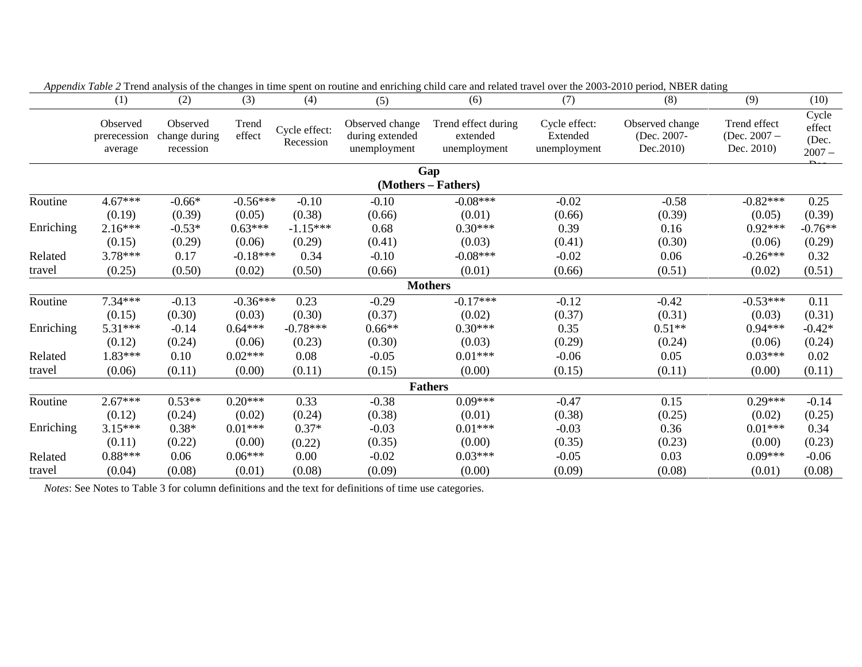|           | (1)                                 | (2)                                    | (3)             | (4)                        | (5)                                                | Tippenaix I able 2 Trend anaryon of the enanges in three spent on routine and empering entre and related travel over the 2005-2010 period, rubble dating<br>(6) | (7)                                       | (8)                                        | (9)                                          | (10)                                 |
|-----------|-------------------------------------|----------------------------------------|-----------------|----------------------------|----------------------------------------------------|-----------------------------------------------------------------------------------------------------------------------------------------------------------------|-------------------------------------------|--------------------------------------------|----------------------------------------------|--------------------------------------|
|           | Observed<br>prerecession<br>average | Observed<br>change during<br>recession | Trend<br>effect | Cycle effect:<br>Recession | Observed change<br>during extended<br>unemployment | Trend effect during<br>extended<br>unemployment                                                                                                                 | Cycle effect:<br>Extended<br>unemployment | Observed change<br>(Dec. 2007-<br>Dec.2010 | Trend effect<br>(Dec. $2007 -$<br>Dec. 2010) | Cycle<br>effect<br>(Dec.<br>$2007 -$ |
|           |                                     |                                        |                 |                            |                                                    | Gap                                                                                                                                                             |                                           |                                            |                                              |                                      |
|           |                                     |                                        |                 |                            |                                                    | (Mothers – Fathers)                                                                                                                                             |                                           |                                            |                                              |                                      |
| Routine   | $4.67***$                           | $-0.66*$                               | $-0.56***$      | $-0.10$                    | $-0.10$                                            | $-0.08***$                                                                                                                                                      | $-0.02$                                   | $-0.58$                                    | $-0.82***$                                   | 0.25                                 |
|           | (0.19)                              | (0.39)                                 | (0.05)          | (0.38)                     | (0.66)                                             | (0.01)                                                                                                                                                          | (0.66)                                    | (0.39)                                     | (0.05)                                       | (0.39)                               |
| Enriching | $2.16***$                           | $-0.53*$                               | $0.63***$       | $-1.15***$                 | 0.68                                               | $0.30***$                                                                                                                                                       | 0.39                                      | 0.16                                       | $0.92***$                                    | $-0.76**$                            |
|           | (0.15)                              | (0.29)                                 | (0.06)          | (0.29)                     | (0.41)                                             | (0.03)                                                                                                                                                          | (0.41)                                    | (0.30)                                     | (0.06)                                       | (0.29)                               |
| Related   | $3.78***$                           | 0.17                                   | $-0.18***$      | 0.34                       | $-0.10$                                            | $-0.08***$                                                                                                                                                      | $-0.02$                                   | 0.06                                       | $-0.26***$                                   | 0.32                                 |
| travel    | (0.25)                              | (0.50)                                 | (0.02)          | (0.50)                     | (0.66)                                             | (0.01)                                                                                                                                                          | (0.66)                                    | (0.51)                                     | (0.02)                                       | (0.51)                               |
|           |                                     |                                        |                 |                            |                                                    | <b>Mothers</b>                                                                                                                                                  |                                           |                                            |                                              |                                      |
| Routine   | 7.34***                             | $-0.13$                                | $-0.36***$      | 0.23                       | $-0.29$                                            | $-0.17***$                                                                                                                                                      | $-0.12$                                   | $-0.42$                                    | $-0.53***$                                   | 0.11                                 |
|           | (0.15)                              | (0.30)                                 | (0.03)          | (0.30)                     | (0.37)                                             | (0.02)                                                                                                                                                          | (0.37)                                    | (0.31)                                     | (0.03)                                       | (0.31)                               |
| Enriching | 5.31***                             | $-0.14$                                | $0.64***$       | $-0.78***$                 | $0.66**$                                           | $0.30***$                                                                                                                                                       | 0.35                                      | $0.51**$                                   | $0.94***$                                    | $-0.42*$                             |
|           | (0.12)                              | (0.24)                                 | (0.06)          | (0.23)                     | (0.30)                                             | (0.03)                                                                                                                                                          | (0.29)                                    | (0.24)                                     | (0.06)                                       | (0.24)                               |
| Related   | 1.83***                             | 0.10                                   | $0.02***$       | 0.08                       | $-0.05$                                            | $0.01***$                                                                                                                                                       | $-0.06$                                   | 0.05                                       | $0.03***$                                    | 0.02                                 |
| travel    | (0.06)                              | (0.11)                                 | (0.00)          | (0.11)                     | (0.15)                                             | (0.00)                                                                                                                                                          | (0.15)                                    | (0.11)                                     | (0.00)                                       | (0.11)                               |
|           |                                     |                                        |                 |                            |                                                    | <b>Fathers</b>                                                                                                                                                  |                                           |                                            |                                              |                                      |
| Routine   | $2.67***$                           | $0.53**$                               | $0.20***$       | 0.33                       | $-0.38$                                            | $0.09***$                                                                                                                                                       | $-0.47$                                   | 0.15                                       | $0.29***$                                    | $-0.14$                              |
|           | (0.12)                              | (0.24)                                 | (0.02)          | (0.24)                     | (0.38)                                             | (0.01)                                                                                                                                                          | (0.38)                                    | (0.25)                                     | (0.02)                                       | (0.25)                               |
| Enriching | $3.15***$                           | $0.38*$                                | $0.01***$       | $0.37*$                    | $-0.03$                                            | $0.01***$                                                                                                                                                       | $-0.03$                                   | 0.36                                       | $0.01***$                                    | 0.34                                 |
|           | (0.11)                              | (0.22)                                 | (0.00)          | (0.22)                     | (0.35)                                             | (0.00)                                                                                                                                                          | (0.35)                                    | (0.23)                                     | (0.00)                                       | (0.23)                               |
| Related   | $0.88***$                           | 0.06                                   | $0.06***$       | 0.00                       | $-0.02$                                            | $0.03***$                                                                                                                                                       | $-0.05$                                   | 0.03                                       | $0.09***$                                    | $-0.06$                              |
| travel    | (0.04)                              | (0.08)                                 | (0.01)          | (0.08)                     | (0.09)                                             | (0.00)                                                                                                                                                          | (0.09)                                    | (0.08)                                     | (0.01)                                       | (0.08)                               |

*Appendix Table 2* Trend analysis of the changes in time spent on routine and enriching child care and related travel over the 2003-2010 period. NBER dating

*Notes*: See Notes to Table 3 for column definitions and the text for definitions of time use categories.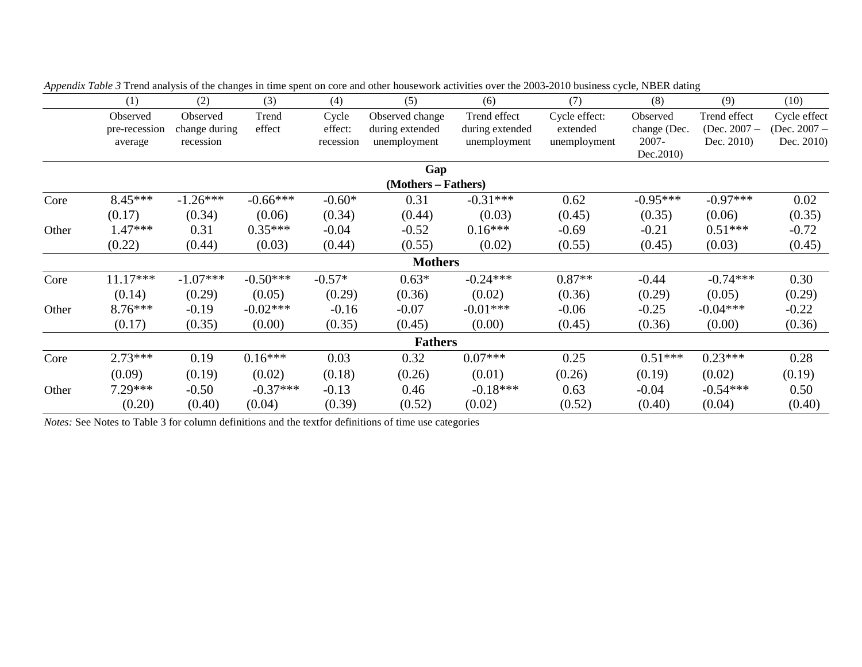|       | (1)           | (2)           | (3)        | (4)       | (5)                 | (6)             | (7)           | (8)          | (9)            | (10)           |
|-------|---------------|---------------|------------|-----------|---------------------|-----------------|---------------|--------------|----------------|----------------|
|       | Observed      | Observed      | Trend      | Cycle     | Observed change     | Trend effect    | Cycle effect: | Observed     | Trend effect   | Cycle effect   |
|       | pre-recession | change during | effect     | effect:   | during extended     | during extended | extended      | change (Dec. | (Dec. $2007 -$ | (Dec. $2007 -$ |
|       | average       | recession     |            | recession | unemployment        | unemployment    | unemployment  | 2007-        | Dec. 2010)     | Dec. 2010)     |
|       |               |               |            |           |                     |                 |               | Dec. 2010)   |                |                |
|       |               |               |            |           | Gap                 |                 |               |              |                |                |
|       |               |               |            |           | (Mothers – Fathers) |                 |               |              |                |                |
| Core  | $8.45***$     | $-1.26***$    | $-0.66***$ | $-0.60*$  | 0.31                | $-0.31***$      | 0.62          | $-0.95***$   | $-0.97***$     | 0.02           |
|       | (0.17)        | (0.34)        | (0.06)     | (0.34)    | (0.44)              | (0.03)          | (0.45)        | (0.35)       | (0.06)         | (0.35)         |
| Other | 1.47***       | 0.31          | $0.35***$  | $-0.04$   | $-0.52$             | $0.16***$       | $-0.69$       | $-0.21$      | $0.51***$      | $-0.72$        |
|       | (0.22)        | (0.44)        | (0.03)     | (0.44)    | (0.55)              | (0.02)          | (0.55)        | (0.45)       | (0.03)         | (0.45)         |
|       |               |               |            |           | <b>Mothers</b>      |                 |               |              |                |                |
| Core  | $11.17***$    | $-1.07***$    | $-0.50***$ | $-0.57*$  | $0.63*$             | $-0.24***$      | $0.87**$      | $-0.44$      | $-0.74***$     | 0.30           |
|       | (0.14)        | (0.29)        | (0.05)     | (0.29)    | (0.36)              | (0.02)          | (0.36)        | (0.29)       | (0.05)         | (0.29)         |
| Other | $8.76***$     | $-0.19$       | $-0.02***$ | $-0.16$   | $-0.07$             | $-0.01***$      | $-0.06$       | $-0.25$      | $-0.04***$     | $-0.22$        |
|       | (0.17)        | (0.35)        | (0.00)     | (0.35)    | (0.45)              | (0.00)          | (0.45)        | (0.36)       | (0.00)         | (0.36)         |
|       |               |               |            |           | <b>Fathers</b>      |                 |               |              |                |                |
| Core  | $2.73***$     | 0.19          | $0.16***$  | 0.03      | 0.32                | $0.07***$       | 0.25          | $0.51***$    | $0.23***$      | 0.28           |
|       | (0.09)        | (0.19)        | (0.02)     | (0.18)    | (0.26)              | (0.01)          | (0.26)        | (0.19)       | (0.02)         | (0.19)         |
| Other | 7.29 ***      | $-0.50$       | $-0.37***$ | $-0.13$   | 0.46                | $-0.18***$      | 0.63          | $-0.04$      | $-0.54***$     | 0.50           |
|       | (0.20)        | (0.40)        | (0.04)     | (0.39)    | (0.52)              | (0.02)          | (0.52)        | (0.40)       | (0.04)         | (0.40)         |

*Appendix Table 3* Trend analysis of the changes in time spent on core and other housework activities over the 2003-2010 business cycle, NBER dating

*Notes:* See Notes to Table 3 for column definitions and the textfor definitions of time use categories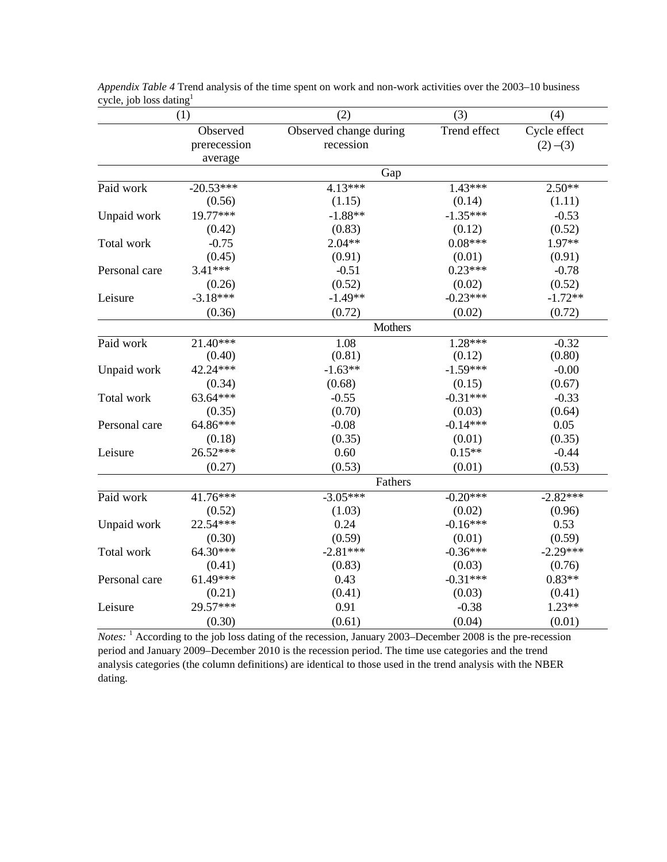|               | (1)                   | (2)                    | (3)          | (4)          |  |
|---------------|-----------------------|------------------------|--------------|--------------|--|
|               | Observed              | Observed change during | Trend effect | Cycle effect |  |
|               | prerecession          | recession              |              | $(2)$ –(3)   |  |
|               | average               |                        |              |              |  |
|               |                       | Gap                    |              |              |  |
| Paid work     | $-20.53***$           | 4.13***                | $1.43***$    | $2.50**$     |  |
|               | (0.56)                | (1.15)                 | (0.14)       | (1.11)       |  |
| Unpaid work   | 19.77***              | $-1.88**$              | $-1.35***$   | $-0.53$      |  |
|               | (0.42)                | (0.83)                 | (0.12)       | (0.52)       |  |
| Total work    | $-0.75$               | $2.04**$               | $0.08***$    | 1.97**       |  |
|               | (0.45)                | (0.91)                 | (0.01)       | (0.91)       |  |
| Personal care | $3.41***$             | $-0.51$                | $0.23***$    | $-0.78$      |  |
|               | (0.26)                | (0.52)                 | (0.02)       | (0.52)       |  |
| Leisure       | $-3.18***$            | $-1.49**$              | $-0.23***$   | $-1.72**$    |  |
|               | (0.36)                | (0.72)                 | (0.02)       | (0.72)       |  |
|               |                       | Mothers                |              |              |  |
| Paid work     | $21.\overline{40***}$ | 1.08                   | $1.28***$    | $-0.32$      |  |
|               | (0.40)                | (0.81)                 | (0.12)       | (0.80)       |  |
| Unpaid work   | 42.24***              | $-1.63**$              | $-1.59***$   | $-0.00$      |  |
|               | (0.34)                | (0.68)                 | (0.15)       | (0.67)       |  |
| Total work    | 63.64***              | $-0.55$                | $-0.31***$   | $-0.33$      |  |
|               | (0.35)                | (0.70)                 | (0.03)       | (0.64)       |  |
| Personal care | 64.86***              | $-0.08$                | $-0.14***$   | 0.05         |  |
|               | (0.18)                | (0.35)                 | (0.01)       | (0.35)       |  |
| Leisure       | 26.52***              | 0.60                   | $0.15**$     | $-0.44$      |  |
|               | (0.27)                | (0.53)                 | (0.01)       | (0.53)       |  |
|               |                       | Fathers                |              |              |  |
| Paid work     | $41.76***$            | $-3.05***$             | $-0.20***$   | $-2.82***$   |  |
|               | (0.52)                | (1.03)                 | (0.02)       | (0.96)       |  |
| Unpaid work   | 22.54***              | 0.24                   | $-0.16***$   | 0.53         |  |
|               | (0.30)                | (0.59)                 | (0.01)       | (0.59)       |  |
| Total work    | 64.30***              | $-2.81***$             | $-0.36***$   | $-2.29***$   |  |
|               | (0.41)                | (0.83)                 | (0.03)       | (0.76)       |  |
| Personal care | $61.49***$            | 0.43                   | $-0.31***$   | $0.83**$     |  |
|               | (0.21)                | (0.41)                 | (0.03)       | (0.41)       |  |
| Leisure       | 29.57***              | 0.91                   | $-0.38$      | $1.23**$     |  |
|               | (0.30)                | (0.61)                 | (0.04)       | (0.01)       |  |

*Appendix Table 4* Trend analysis of the time spent on work and non-work activities over the 2003–10 business cycle, job loss dating $<sup>1</sup>$ </sup>

*Notes*: <sup>1</sup> According to the job loss dating of the recession, January 2003–December 2008 is the pre-recession period and January 2009–December 2010 is the recession period. The time use categories and the trend analysis categories (the column definitions) are identical to those used in the trend analysis with the NBER dating.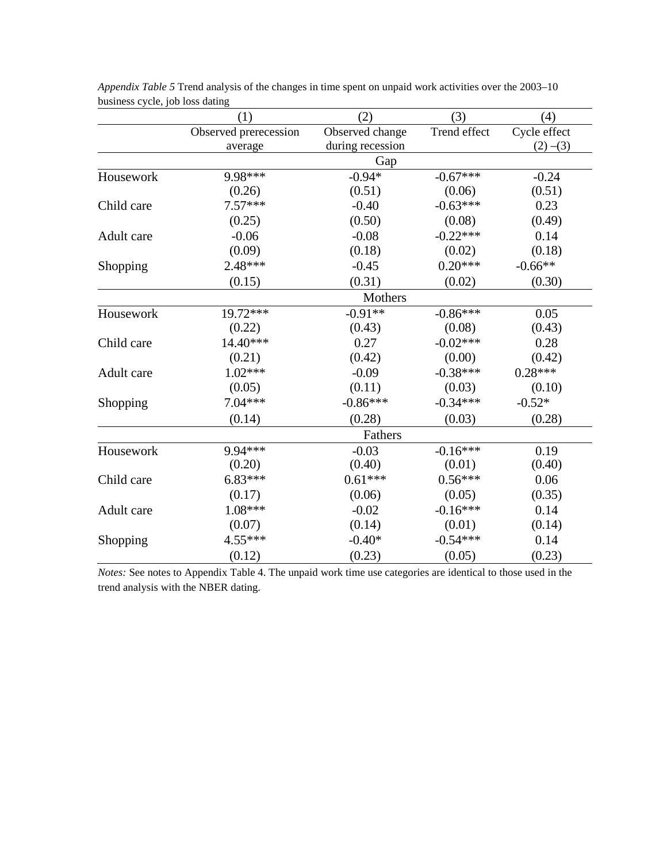|            | (1)                   | (2)              | (3)          | (4)          |
|------------|-----------------------|------------------|--------------|--------------|
|            | Observed prerecession | Observed change  | Trend effect | Cycle effect |
|            | average               | during recession |              | $(2)$ –(3)   |
|            |                       | Gap              |              |              |
| Housework  | 9.98***               | $-0.94*$         | $-0.67***$   | $-0.24$      |
|            | (0.26)                | (0.51)           | (0.06)       | (0.51)       |
| Child care | $7.57***$             | $-0.40$          | $-0.63***$   | 0.23         |
|            | (0.25)                | (0.50)           | (0.08)       | (0.49)       |
| Adult care | $-0.06$               | $-0.08$          | $-0.22***$   | 0.14         |
|            | (0.09)                | (0.18)           | (0.02)       | (0.18)       |
| Shopping   | 2.48***               | $-0.45$          | $0.20***$    | $-0.66**$    |
|            | (0.15)                | (0.31)           | (0.02)       | (0.30)       |
|            |                       | Mothers          |              |              |
| Housework  | 19.72***              | $-0.91**$        | $-0.86***$   | 0.05         |
|            | (0.22)                | (0.43)           | (0.08)       | (0.43)       |
| Child care | 14.40***              | 0.27             | $-0.02***$   | 0.28         |
|            | (0.21)                | (0.42)           | (0.00)       | (0.42)       |
| Adult care | $1.02***$             | $-0.09$          | $-0.38***$   | $0.28***$    |
|            | (0.05)                | (0.11)           | (0.03)       | (0.10)       |
| Shopping   | $7.04***$             | $-0.86***$       | $-0.34***$   | $-0.52*$     |
|            | (0.14)                | (0.28)           | (0.03)       | (0.28)       |
|            |                       | Fathers          |              |              |
| Housework  | $9.94***$             | $-0.03$          | $-0.16***$   | 0.19         |
|            | (0.20)                | (0.40)           | (0.01)       | (0.40)       |
| Child care | $6.83***$             | $0.61***$        | $0.56***$    | 0.06         |
|            | (0.17)                | (0.06)           | (0.05)       | (0.35)       |
| Adult care | 1.08***               | $-0.02$          | $-0.16***$   | 0.14         |
|            | (0.07)                | (0.14)           | (0.01)       | (0.14)       |
| Shopping   | $4.55***$             |                  | $-0.54***$   | 0.14         |
|            | (0.12)                | (0.23)           | (0.05)       | (0.23)       |

*Appendix Table 5* Trend analysis of the changes in time spent on unpaid work activities over the 2003–10 business cycle, job loss dating

*Notes:* See notes to Appendix Table 4. The unpaid work time use categories are identical to those used in the trend analysis with the NBER dating.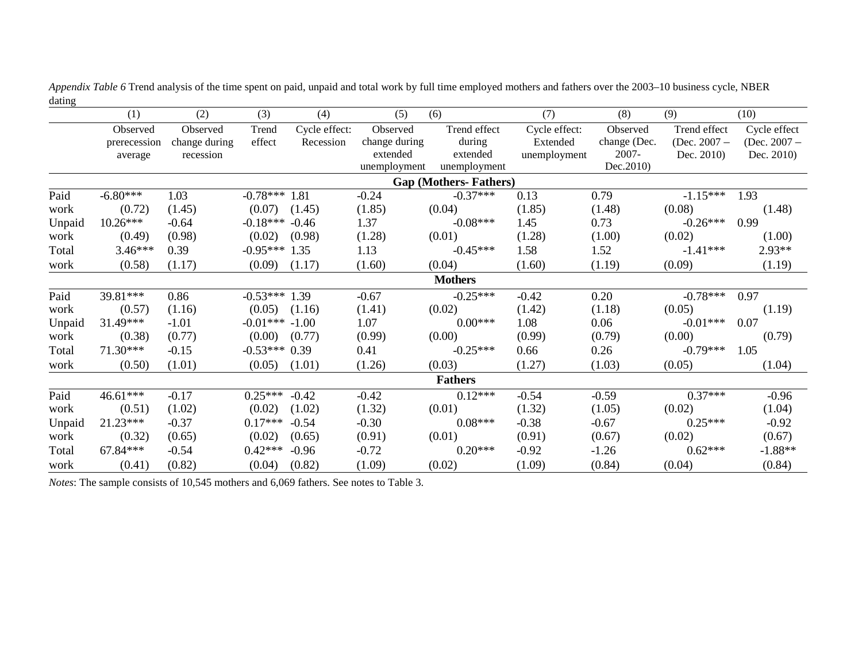|        | (1)          | (2)           | (3)              | (4)           | (5)           | (6)                          | (7)           | (8)          | (9)            | (10)           |
|--------|--------------|---------------|------------------|---------------|---------------|------------------------------|---------------|--------------|----------------|----------------|
|        | Observed     | Observed      | Trend            | Cycle effect: | Observed      | Trend effect                 | Cycle effect: | Observed     | Trend effect   | Cycle effect   |
|        | prerecession | change during | effect           | Recession     | change during | during                       | Extended      | change (Dec. | (Dec. $2007 -$ | (Dec. $2007 -$ |
|        | average      | recession     |                  |               | extended      | extended                     | unemployment  | $2007 -$     | Dec. 2010)     | Dec. 2010)     |
|        |              |               |                  |               | unemployment  | unemployment                 |               | Dec.2010     |                |                |
|        |              |               |                  |               |               | <b>Gap (Mothers-Fathers)</b> |               |              |                |                |
| Paid   | $-6.80***$   | 1.03          | $-0.78***$ 1.81  |               | $-0.24$       | $-0.37***$                   | 0.13          | 0.79         | $-1.15***$     | 1.93           |
| work   | (0.72)       | (1.45)        | (0.07)           | (1.45)        | (1.85)        | (0.04)                       | (1.85)        | (1.48)       | (0.08)         | (1.48)         |
| Unpaid | $10.26***$   | $-0.64$       | $-0.18***$       | $-0.46$       | 1.37          | $-0.08***$                   | 1.45          | 0.73         | $-0.26***$     | 0.99           |
| work   | (0.49)       | (0.98)        | (0.02)           | (0.98)        | (1.28)        | (0.01)                       | (1.28)        | (1.00)       | (0.02)         | (1.00)         |
| Total  | $3.46***$    | 0.39          | $-0.95***$ 1.35  |               | 1.13          | $-0.45***$                   | 1.58          | 1.52         | $-1.41***$     | 2.93**         |
| work   | (0.58)       | (1.17)        | (0.09)           | (1.17)        | (1.60)        | (0.04)                       | (1.60)        | (1.19)       | (0.09)         | (1.19)         |
|        |              |               |                  |               |               | <b>Mothers</b>               |               |              |                |                |
| Paid   | 39.81***     | 0.86          | $-0.53***$ 1.39  |               | $-0.67$       | $-0.25***$                   | $-0.42$       | 0.20         | $-0.78***$     | 0.97           |
| work   | (0.57)       | (1.16)        | (0.05)           | (1.16)        | (1.41)        | (0.02)                       | (1.42)        | (1.18)       | (0.05)         | (1.19)         |
| Unpaid | 31.49***     | $-1.01$       | $-0.01*** -1.00$ |               | 1.07          | $0.00***$                    | 1.08          | 0.06         | $-0.01***$     | 0.07           |
| work   | (0.38)       | (0.77)        | (0.00)           | (0.77)        | (0.99)        | (0.00)                       | (0.99)        | (0.79)       | (0.00)         | (0.79)         |
| Total  | 71.30***     | $-0.15$       | $-0.53***$ 0.39  |               | 0.41          | $-0.25***$                   | 0.66          | 0.26         | $-0.79***$     | 1.05           |
| work   | (0.50)       | (1.01)        | (0.05)           | (1.01)        | (1.26)        | (0.03)                       | (1.27)        | (1.03)       | (0.05)         | (1.04)         |
|        |              |               |                  |               |               | <b>Fathers</b>               |               |              |                |                |
| Paid   | $46.61***$   | $-0.17$       | $0.25***$        | $-0.42$       | $-0.42$       | $0.12***$                    | $-0.54$       | $-0.59$      | $0.37***$      | $-0.96$        |
| work   | (0.51)       | (1.02)        | (0.02)           | (1.02)        | (1.32)        | (0.01)                       | (1.32)        | (1.05)       | (0.02)         | (1.04)         |
| Unpaid | 21.23***     | $-0.37$       | $0.17***$        | $-0.54$       | $-0.30$       | $0.08***$                    | $-0.38$       | $-0.67$      | $0.25***$      | $-0.92$        |
| work   | (0.32)       | (0.65)        | (0.02)           | (0.65)        | (0.91)        | (0.01)                       | (0.91)        | (0.67)       | (0.02)         | (0.67)         |
| Total  | 67.84***     | $-0.54$       | $0.42***$        | $-0.96$       | $-0.72$       | $0.20***$                    | $-0.92$       | $-1.26$      | $0.62***$      | $-1.88**$      |
| work   | (0.41)       | (0.82)        | (0.04)           | (0.82)        | (1.09)        | (0.02)                       | (1.09)        | (0.84)       | (0.04)         | (0.84)         |

*Appendix Table 6* Trend analysis of the time spent on paid, unpaid and total work by full time employed mothers and fathers over the 2003–10 business cycle, NBER dating

*Notes*: The sample consists of 10,545 mothers and 6,069 fathers. See notes to Table 3.